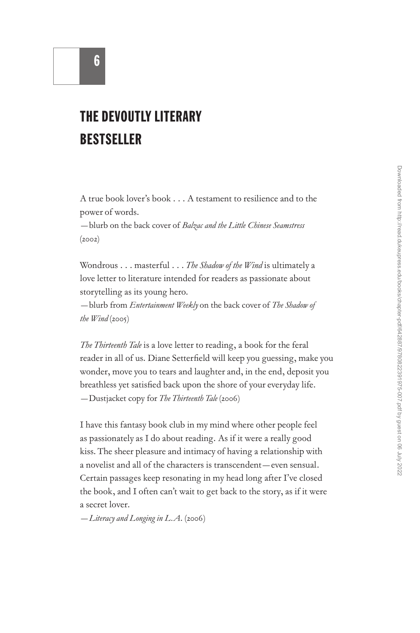## 6

# The Devoutly Literary Bestseller

A true book lover's book . . . A testament to resilience and to the power of words.

—blurb on the back cover of *Balzac and the Little Chinese Seamstress* (2002)

Wondrous . . . masterful . . . *The Shadow of the Wind* is ultimately a love letter to literature intended for readers as passionate about storytelling as its young hero.

—blurb from *Entertainment Weekly* on the back cover of *The Shadow of the Wind* (2005)

*The Thirteenth Tale* is a love letter to reading, a book for the feral reader in all of us. Diane Setterfield will keep you guessing, make you wonder, move you to tears and laughter and, in the end, deposit you breathless yet satisfied back upon the shore of your everyday life. —Dustjacket copy for *The Thirteenth Tale* (2006)

I have this fantasy book club in my mind where other people feel as passionately as I do about reading. As if it were a really good kiss. The sheer pleasure and intimacy of having a relationship with a novelist and all of the characters is transcendent—even sensual. Certain passages keep resonating in my head long after I've closed the book, and I often can't wait to get back to the story, as if it were a secret lover.

—*Literacy and Longing in L.A*. (2006)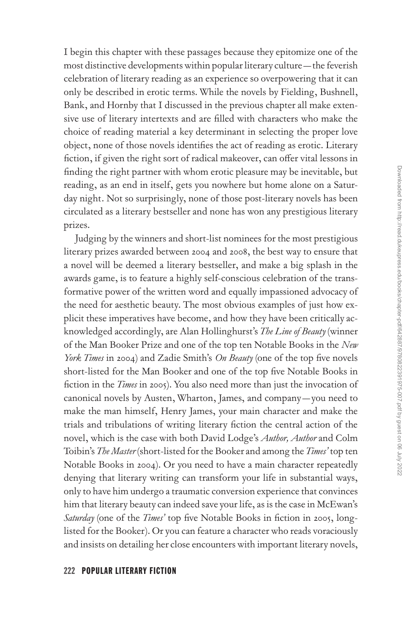I begin this chapter with these passages because they epitomize one of the most distinctive developments within popular literary culture—the feverish celebration of literary reading as an experience so overpowering that it can only be described in erotic terms. While the novels by Fielding, Bushnell, Bank, and Hornby that I discussed in the previous chapter all make extensive use of literary intertexts and are filled with characters who make the choice of reading material a key determinant in selecting the proper love object, none of those novels identifies the act of reading as erotic. Literary fiction, if given the right sort of radical makeover, can offer vital lessons in finding the right partner with whom erotic pleasure may be inevitable, but reading, as an end in itself, gets you nowhere but home alone on a Saturday night. Not so surprisingly, none of those post-literary novels has been circulated as a literary bestseller and none has won any prestigious literary prizes.

Judging by the winners and short-list nominees for the most prestigious literary prizes awarded between 2004 and 2008, the best way to ensure that a novel will be deemed a literary bestseller, and make a big splash in the awards game, is to feature a highly self-conscious celebration of the transformative power of the written word and equally impassioned advocacy of the need for aesthetic beauty. The most obvious examples of just how explicit these imperatives have become, and how they have been critically acknowledged accordingly, are Alan Hollinghurst's *The Line of Beauty* (winner of the Man Booker Prize and one of the top ten Notable Books in the *New York Times* in 2004) and Zadie Smith's *On Beauty* (one of the top five novels short-listed for the Man Booker and one of the top five Notable Books in fiction in the *Times* in 2005). You also need more than just the invocation of canonical novels by Austen, Wharton, James, and company—you need to make the man himself, Henry James, your main character and make the trials and tribulations of writing literary fiction the central action of the novel, which is the case with both David Lodge's *Author, Author* and Colm Toibin's *The Master* (short-listed for the Booker and among the *Times'* top ten Notable Books in 2004). Or you need to have a main character repeatedly denying that literary writing can transform your life in substantial ways, only to have him undergo a traumatic conversion experience that convinces him that literary beauty can indeed save your life, as is the case in McEwan's *Saturday* (one of the *Times'* top five Notable Books in fiction in 2005, longlisted for the Booker). Or you can feature a character who reads voraciously and insists on detailing her close encounters with important literary novels,

#### 222 **POPULAR LITERARY FICTION**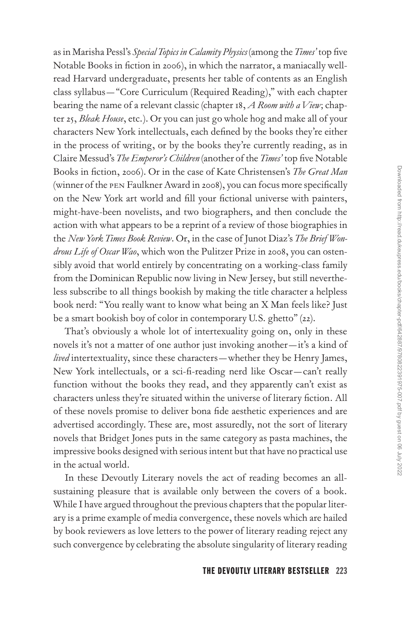as in Marisha Pessl's *Special Topics in Calamity Physics* (among the *Times'* top five Notable Books in fiction in 2006), in which the narrator, a maniacally wellread Harvard undergraduate, presents her table of contents as an English class syllabus—"Core Curriculum (Required Reading)," with each chapter bearing the name of a relevant classic (chapter 18, *A Room with a View*; chapter 25, *Bleak House*, etc.). Or you can just go whole hog and make all of your characters New York intellectuals, each defined by the books they're either in the process of writing, or by the books they're currently reading, as in Claire Messud's *The Emperor's Children* (another of the *Times'* top five Notable Books in fiction, 2006). Or in the case of Kate Christensen's *The Great Man* (winner of the PEN Faulkner Award in 2008), you can focus more specifically on the New York art world and fill your fictional universe with painters, might-have-been novelists, and two biographers, and then conclude the action with what appears to be a reprint of a review of those biographies in the *New York Times Book Review*. Or, in the case of Junot Diaz's *The Brief Wondrous Life of Oscar Wao*, which won the Pulitzer Prize in 2008, you can ostensibly avoid that world entirely by concentrating on a working-class family from the Dominican Republic now living in New Jersey, but still nevertheless subscribe to all things bookish by making the title character a helpless book nerd: "You really want to know what being an X Man feels like? Just be a smart bookish boy of color in contemporary U.S. ghetto" (22).

That's obviously a whole lot of intertexuality going on, only in these novels it's not a matter of one author just invoking another—it's a kind of *lived* intertextuality, since these characters—whether they be Henry James, New York intellectuals, or a sci-fi-reading nerd like Oscar—can't really function without the books they read, and they apparently can't exist as characters unless they're situated within the universe of literary fiction. All of these novels promise to deliver bona fide aesthetic experiences and are advertised accordingly. These are, most assuredly, not the sort of literary novels that Bridget Jones puts in the same category as pasta machines, the impressive books designed with serious intent but that have no practical use in the actual world.

In these Devoutly Literary novels the act of reading becomes an allsustaining pleasure that is available only between the covers of a book. While I have argued throughout the previous chapters that the popular literary is a prime example of media convergence, these novels which are hailed by book reviewers as love letters to the power of literary reading reject any such convergence by celebrating the absolute singularity of literary reading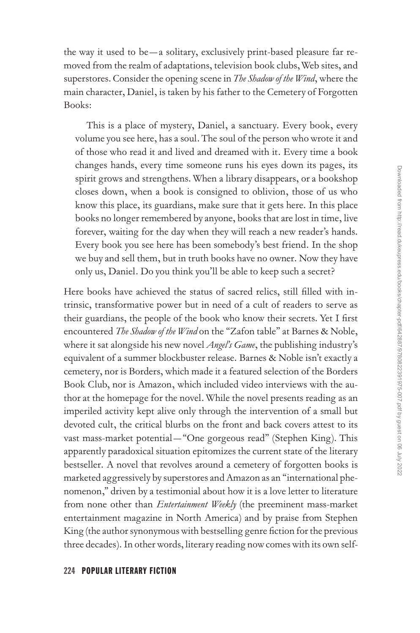the way it used to be—a solitary, exclusively print-based pleasure far removed from the realm of adaptations, television book clubs, Web sites, and superstores. Consider the opening scene in *The Shadow of the Wind*, where the main character, Daniel, is taken by his father to the Cemetery of Forgotten Books:

This is a place of mystery, Daniel, a sanctuary. Every book, every volume you see here, has a soul. The soul of the person who wrote it and of those who read it and lived and dreamed with it. Every time a book changes hands, every time someone runs his eyes down its pages, its spirit grows and strengthens. When a library disappears, or a bookshop closes down, when a book is consigned to oblivion, those of us who know this place, its guardians, make sure that it gets here. In this place books no longer remembered by anyone, books that are lost in time, live forever, waiting for the day when they will reach a new reader's hands. Every book you see here has been somebody's best friend. In the shop we buy and sell them, but in truth books have no owner. Now they have only us, Daniel. Do you think you'll be able to keep such a secret?

Here books have achieved the status of sacred relics, still filled with intrinsic, transformative power but in need of a cult of readers to serve as their guardians, the people of the book who know their secrets. Yet I first encountered *The Shadow of the Wind* on the "Zafon table" at Barnes & Noble, where it sat alongside his new novel *Angel's Game*, the publishing industry's equivalent of a summer blockbuster release. Barnes & Noble isn't exactly a cemetery, nor is Borders, which made it a featured selection of the Borders Book Club, nor is Amazon, which included video interviews with the author at the homepage for the novel. While the novel presents reading as an imperiled activity kept alive only through the intervention of a small but devoted cult, the critical blurbs on the front and back covers attest to its vast mass-market potential—"One gorgeous read" (Stephen King). This apparently paradoxical situation epitomizes the current state of the literary bestseller. A novel that revolves around a cemetery of forgotten books is marketed aggressively by superstores and Amazon as an "international phenomenon," driven by a testimonial about how it is a love letter to literature from none other than *Entertainment Weekly* (the preeminent mass-market entertainment magazine in North America) and by praise from Stephen King (the author synonymous with bestselling genre fiction for the previous three decades). In other words, literary reading now comes with its own self-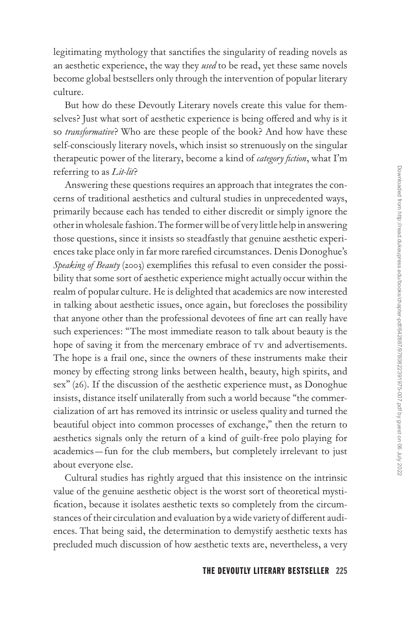legitimating mythology that sanctifies the singularity of reading novels as an aesthetic experience, the way they *used* to be read, yet these same novels become global bestsellers only through the intervention of popular literary culture.

But how do these Devoutly Literary novels create this value for themselves? Just what sort of aesthetic experience is being offered and why is it so *transformative*? Who are these people of the book? And how have these self-consciously literary novels, which insist so strenuously on the singular therapeutic power of the literary, become a kind of *category fiction*, what I'm referring to as *Lit-lit*?

Answering these questions requires an approach that integrates the concerns of traditional aesthetics and cultural studies in unprecedented ways, primarily because each has tended to either discredit or simply ignore the other in wholesale fashion. The former will be of very little help in answering those questions, since it insists so steadfastly that genuine aesthetic experiences take place only in far more rarefied circumstances. Denis Donoghue's *Speaking of Beauty* (2003) exemplifies this refusal to even consider the possibility that some sort of aesthetic experience might actually occur within the realm of popular culture. He is delighted that academics are now interested in talking about aesthetic issues, once again, but forecloses the possibility that anyone other than the professional devotees of fine art can really have such experiences: "The most immediate reason to talk about beauty is the hope of saving it from the mercenary embrace of  $\tau v$  and advertisements. The hope is a frail one, since the owners of these instruments make their money by effecting strong links between health, beauty, high spirits, and sex" (26). If the discussion of the aesthetic experience must, as Donoghue insists, distance itself unilaterally from such a world because "the commercialization of art has removed its intrinsic or useless quality and turned the beautiful object into common processes of exchange," then the return to aesthetics signals only the return of a kind of guilt-free polo playing for academics—fun for the club members, but completely irrelevant to just about everyone else.

Cultural studies has rightly argued that this insistence on the intrinsic value of the genuine aesthetic object is the worst sort of theoretical mystification, because it isolates aesthetic texts so completely from the circumstances of their circulation and evaluation by a wide variety of different audiences. That being said, the determination to demystify aesthetic texts has precluded much discussion of how aesthetic texts are, nevertheless, a very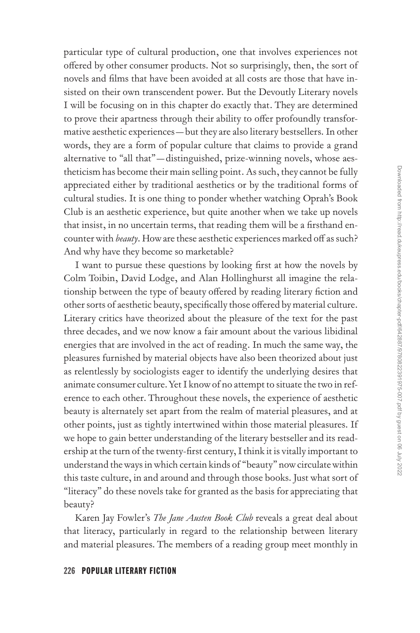particular type of cultural production, one that involves experiences not offered by other consumer products. Not so surprisingly, then, the sort of novels and films that have been avoided at all costs are those that have insisted on their own transcendent power. But the Devoutly Literary novels I will be focusing on in this chapter do exactly that. They are determined to prove their apartness through their ability to offer profoundly transformative aesthetic experiences—but they are also literary bestsellers. In other words, they are a form of popular culture that claims to provide a grand alternative to "all that"—distinguished, prize-winning novels, whose aestheticism has become their main selling point. As such, they cannot be fully appreciated either by traditional aesthetics or by the traditional forms of cultural studies. It is one thing to ponder whether watching Oprah's Book Club is an aesthetic experience, but quite another when we take up novels that insist, in no uncertain terms, that reading them will be a firsthand encounter with *beauty*. How are these aesthetic experiences marked off as such? And why have they become so marketable?

I want to pursue these questions by looking first at how the novels by Colm Toibin, David Lodge, and Alan Hollinghurst all imagine the relationship between the type of beauty offered by reading literary fiction and other sorts of aesthetic beauty, specifically those offered by material culture. Literary critics have theorized about the pleasure of the text for the past three decades, and we now know a fair amount about the various libidinal energies that are involved in the act of reading. In much the same way, the pleasures furnished by material objects have also been theorized about just as relentlessly by sociologists eager to identify the underlying desires that animate consumer culture. Yet I know of no attempt to situate the two in reference to each other. Throughout these novels, the experience of aesthetic beauty is alternately set apart from the realm of material pleasures, and at other points, just as tightly intertwined within those material pleasures. If we hope to gain better understanding of the literary bestseller and its readership at the turn of the twenty-first century, I think it is vitally important to understand the ways in which certain kinds of "beauty" now circulate within this taste culture, in and around and through those books. Just what sort of "literacy" do these novels take for granted as the basis for appreciating that beauty?

Karen Jay Fowler's *The Jane Austen Book Club* reveals a great deal about that literacy, particularly in regard to the relationship between literary and material pleasures. The members of a reading group meet monthly in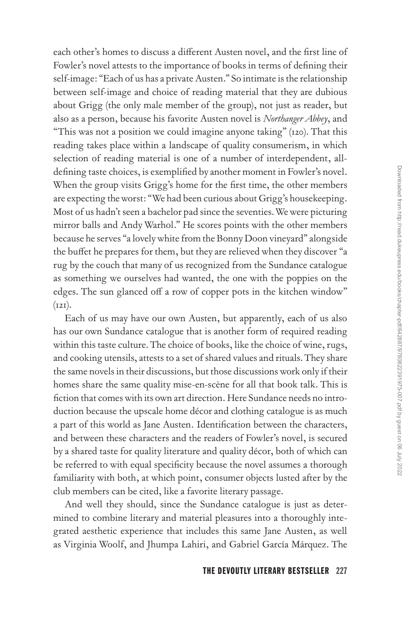each other's homes to discuss a different Austen novel, and the first line of Fowler's novel attests to the importance of books in terms of defining their self-image: "Each of us has a private Austen." So intimate is the relationship between self-image and choice of reading material that they are dubious about Grigg (the only male member of the group), not just as reader, but also as a person, because his favorite Austen novel is *Northanger Abbey*, and "This was not a position we could imagine anyone taking" (120). That this reading takes place within a landscape of quality consumerism, in which selection of reading material is one of a number of interdependent, alldefining taste choices, is exemplified by another moment in Fowler's novel. When the group visits Grigg's home for the first time, the other members are expecting the worst: "We had been curious about Grigg's housekeeping. Most of us hadn't seen a bachelor pad since the seventies. We were picturing mirror balls and Andy Warhol." He scores points with the other members because he serves "a lovely white from the Bonny Doon vineyard" alongside the buffet he prepares for them, but they are relieved when they discover "a rug by the couch that many of us recognized from the Sundance catalogue as something we ourselves had wanted, the one with the poppies on the edges. The sun glanced off a row of copper pots in the kitchen window"  $(121)$ .

Each of us may have our own Austen, but apparently, each of us also has our own Sundance catalogue that is another form of required reading within this taste culture. The choice of books, like the choice of wine, rugs, and cooking utensils, attests to a set of shared values and rituals. They share the same novels in their discussions, but those discussions work only if their homes share the same quality mise-en-scène for all that book talk. This is fiction that comes with its own art direction. Here Sundance needs no introduction because the upscale home décor and clothing catalogue is as much a part of this world as Jane Austen. Identification between the characters, and between these characters and the readers of Fowler's novel, is secured by a shared taste for quality literature and quality décor, both of which can be referred to with equal specificity because the novel assumes a thorough familiarity with both, at which point, consumer objects lusted after by the club members can be cited, like a favorite literary passage.

And well they should, since the Sundance catalogue is just as determined to combine literary and material pleasures into a thoroughly integrated aesthetic experience that includes this same Jane Austen, as well as Virginia Woolf, and Jhumpa Lahiri, and Gabriel García Márquez. The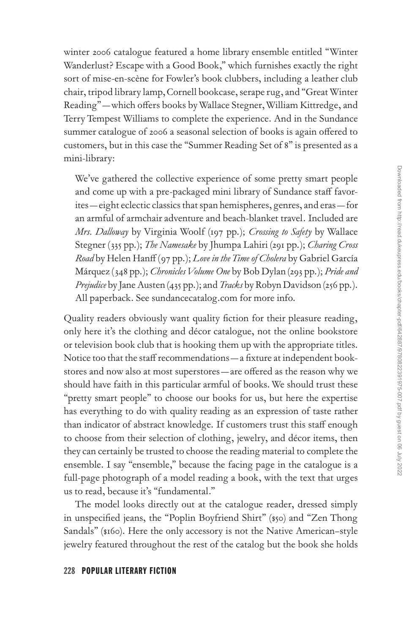winter 2006 catalogue featured a home library ensemble entitled "Winter Wanderlust? Escape with a Good Book," which furnishes exactly the right sort of mise-en-scène for Fowler's book clubbers, including a leather club chair, tripod library lamp, Cornell bookcase, serape rug, and "Great Winter Reading"—which offers books by Wallace Stegner, William Kittredge, and Terry Tempest Williams to complete the experience. And in the Sundance summer catalogue of 2006 a seasonal selection of books is again offered to customers, but in this case the "Summer Reading Set of 8" is presented as a mini-library:

We've gathered the collective experience of some pretty smart people and come up with a pre-packaged mini library of Sundance staff favorites—eight eclectic classics that span hemispheres, genres, and eras—for an armful of armchair adventure and beach-blanket travel. Included are *Mrs. Dalloway* by Virginia Woolf (197 pp.); *Crossing to Safety* by Wallace Stegner (335 pp.); *The Namesake* by Jhumpa Lahiri (291 pp.); *Charing Cross Road* by Helen Hanff (97 pp.); *Love in the Time of Cholera* by Gabriel García Márquez (348 pp.); *Chronicles Volume One* by Bob Dylan (293 pp.); *Pride and Prejudice* by Jane Austen (435 pp.); and *Tracks* by Robyn Davidson (256 pp.). All paperback. See sundancecatalog.com for more info.

Quality readers obviously want quality fiction for their pleasure reading, only here it's the clothing and décor catalogue, not the online bookstore or television book club that is hooking them up with the appropriate titles. Notice too that the staff recommendations—a fixture at independent bookstores and now also at most superstores—are offered as the reason why we should have faith in this particular armful of books. We should trust these "pretty smart people" to choose our books for us, but here the expertise has everything to do with quality reading as an expression of taste rather than indicator of abstract knowledge. If customers trust this staff enough to choose from their selection of clothing, jewelry, and décor items, then they can certainly be trusted to choose the reading material to complete the ensemble. I say "ensemble," because the facing page in the catalogue is a full-page photograph of a model reading a book, with the text that urges us to read, because it's "fundamental."

The model looks directly out at the catalogue reader, dressed simply in unspecified jeans, the "Poplin Boyfriend Shirt" (\$50) and "Zen Thong Sandals" (\$160). Here the only accessory is not the Native American–style jewelry featured throughout the rest of the catalog but the book she holds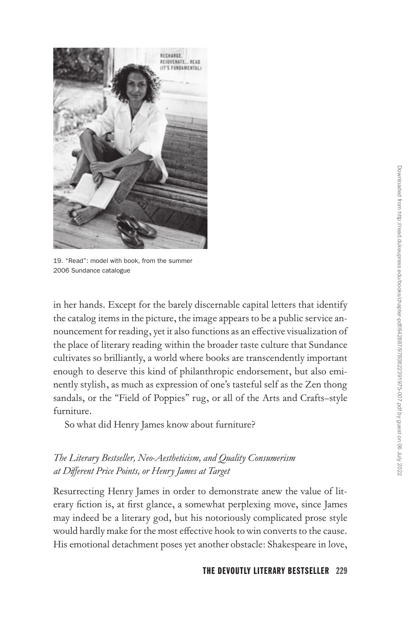

19. "Read": model with book, from the summer 2006 Sundance catalogue

in her hands. Except for the barely discernable capital letters that identify the catalog items in the picture, the image appears to be a public service announcement for reading, yet it also functions as an effective visualization of the place of literary reading within the broader taste culture that Sundance cultivates so brilliantly, a world where books are transcendently important enough to deserve this kind of philanthropic endorsement, but also eminently stylish, as much as expression of one's tasteful self as the Zen thong sandals, or the "Field of Poppies" rug, or all of the Arts and Crafts–style furniture.

So what did Henry James know about furniture?

## *The Literary Bestseller, Neo-Aestheticism, and Quality Consumerism at Different Price Points, or Henry James at Target*

Resurrecting Henry James in order to demonstrate anew the value of literary fiction is, at first glance, a somewhat perplexing move, since James may indeed be a literary god, but his notoriously complicated prose style would hardly make for the most effective hook to win converts to the cause. His emotional detachment poses yet another obstacle: Shakespeare in love,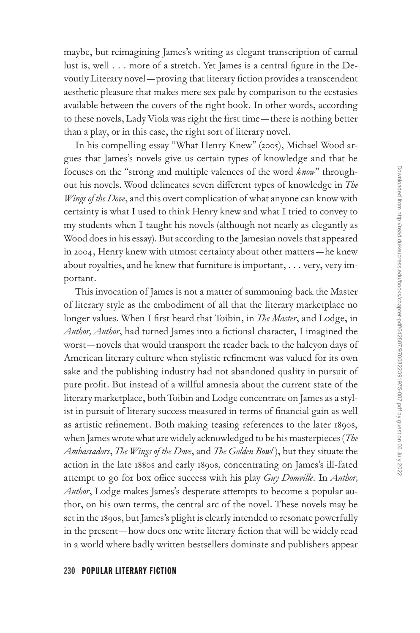maybe, but reimagining James's writing as elegant transcription of carnal lust is, well . . . more of a stretch. Yet James is a central figure in the Devoutly Literary novel—proving that literary fiction provides a transcendent aesthetic pleasure that makes mere sex pale by comparison to the ecstasies available between the covers of the right book. In other words, according to these novels, Lady Viola was right the first time—there is nothing better than a play, or in this case, the right sort of literary novel.

In his compelling essay "What Henry Knew" (2005), Michael Wood argues that James's novels give us certain types of knowledge and that he focuses on the "strong and multiple valences of the word *know*" throughout his novels. Wood delineates seven different types of knowledge in *The Wings of the Dove*, and this overt complication of what anyone can know with certainty is what I used to think Henry knew and what I tried to convey to my students when I taught his novels (although not nearly as elegantly as Wood does in his essay). But according to the Jamesian novels that appeared in 2004, Henry knew with utmost certainty about other matters—he knew about royalties, and he knew that furniture is important, . . . very, very important.

This invocation of James is not a matter of summoning back the Master of literary style as the embodiment of all that the literary marketplace no longer values. When I first heard that Toibin, in *The Master*, and Lodge, in *Author, Author*, had turned James into a fictional character, I imagined the worst—novels that would transport the reader back to the halcyon days of American literary culture when stylistic refinement was valued for its own sake and the publishing industry had not abandoned quality in pursuit of pure profit. But instead of a willful amnesia about the current state of the literary marketplace, both Toibin and Lodge concentrate on James as a stylist in pursuit of literary success measured in terms of financial gain as well as artistic refinement. Both making teasing references to the later 1890s, when James wrote what are widely acknowledged to be his masterpieces (*The Ambassadors*, *The Wings of the Dove*, and *The Golden Bowl* ), but they situate the action in the late 1880s and early 1890s, concentrating on James's ill-fated attempt to go for box office success with his play *Guy Domville*. In *Author, Author*, Lodge makes James's desperate attempts to become a popular author, on his own terms, the central arc of the novel. These novels may be set in the 1890s, but James's plight is clearly intended to resonate powerfully in the present—how does one write literary fiction that will be widely read in a world where badly written bestsellers dominate and publishers appear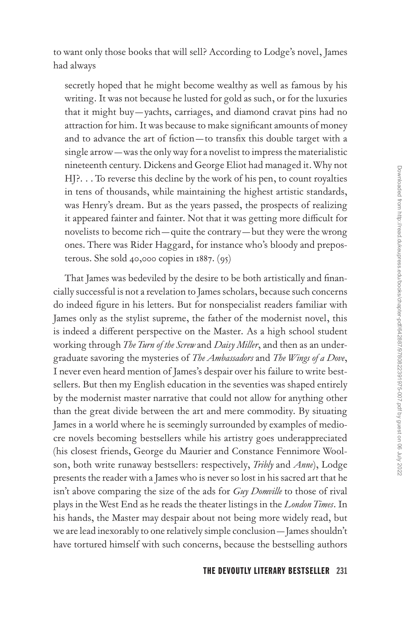to want only those books that will sell? According to Lodge's novel, James had always

secretly hoped that he might become wealthy as well as famous by his writing. It was not because he lusted for gold as such, or for the luxuries that it might buy—yachts, carriages, and diamond cravat pins had no attraction for him. It was because to make significant amounts of money and to advance the art of fiction—to transfix this double target with a single arrow—was the only way for a novelist to impress the materialistic nineteenth century. Dickens and George Eliot had managed it. Why not HJ?. . . To reverse this decline by the work of his pen, to count royalties in tens of thousands, while maintaining the highest artistic standards, was Henry's dream. But as the years passed, the prospects of realizing it appeared fainter and fainter. Not that it was getting more difficult for novelists to become rich—quite the contrary—but they were the wrong ones. There was Rider Haggard, for instance who's bloody and preposterous. She sold 40,000 copies in 1887. (95)

That James was bedeviled by the desire to be both artistically and financially successful is not a revelation to James scholars, because such concerns do indeed figure in his letters. But for nonspecialist readers familiar with James only as the stylist supreme, the father of the modernist novel, this is indeed a different perspective on the Master. As a high school student working through *The Turn of the Screw* and *Daisy Miller*, and then as an undergraduate savoring the mysteries of *The Ambassadors* and *The Wings of a Dove*, I never even heard mention of James's despair over his failure to write bestsellers. But then my English education in the seventies was shaped entirely by the modernist master narrative that could not allow for anything other than the great divide between the art and mere commodity. By situating James in a world where he is seemingly surrounded by examples of mediocre novels becoming bestsellers while his artistry goes underappreciated (his closest friends, George du Maurier and Constance Fennimore Woolson, both write runaway bestsellers: respectively, *Tribly* and *Anne*), Lodge presents the reader with a James who is never so lost in his sacred art that he isn't above comparing the size of the ads for *Guy Domville* to those of rival plays in the West End as he reads the theater listings in the *London Times*. In his hands, the Master may despair about not being more widely read, but we are lead inexorably to one relatively simple conclusion—James shouldn't have tortured himself with such concerns, because the bestselling authors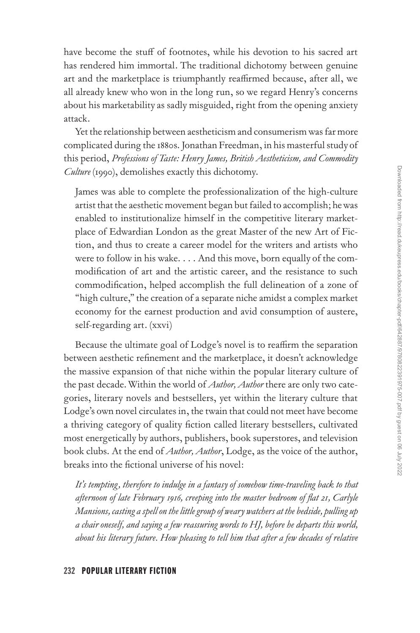have become the stuff of footnotes, while his devotion to his sacred art has rendered him immortal. The traditional dichotomy between genuine art and the marketplace is triumphantly reaffirmed because, after all, we all already knew who won in the long run, so we regard Henry's concerns about his marketability as sadly misguided, right from the opening anxiety attack.

Yet the relationship between aestheticism and consumerism was far more complicated during the 1880s. Jonathan Freedman, in his masterful study of this period, *Professions of Taste: Henry James, British Aestheticism, and Commodity Culture* (1990), demolishes exactly this dichotomy.

James was able to complete the professionalization of the high-culture artist that the aesthetic movement began but failed to accomplish; he was enabled to institutionalize himself in the competitive literary marketplace of Edwardian London as the great Master of the new Art of Fiction, and thus to create a career model for the writers and artists who were to follow in his wake. . . . And this move, born equally of the commodification of art and the artistic career, and the resistance to such commodification, helped accomplish the full delineation of a zone of "high culture," the creation of a separate niche amidst a complex market economy for the earnest production and avid consumption of austere, self-regarding art. (xxvi)

Because the ultimate goal of Lodge's novel is to reaffirm the separation between aesthetic refinement and the marketplace, it doesn't acknowledge the massive expansion of that niche within the popular literary culture of the past decade. Within the world of *Author, Author* there are only two categories, literary novels and bestsellers, yet within the literary culture that Lodge's own novel circulates in, the twain that could not meet have become a thriving category of quality fiction called literary bestsellers, cultivated most energetically by authors, publishers, book superstores, and television book clubs. At the end of *Author, Author*, Lodge, as the voice of the author, breaks into the fictional universe of his novel:

*It's tempting, therefore to indulge in a fantasy of somehow time-traveling back to that afternoon of late February 1916, creeping into the master bedroom of flat 21, Carlyle Mansions, casting a spell on the little group of weary watchers at the bedside, pulling up a chair oneself, and saying a few reassuring words to HJ, before he departs this world, about his literary future. How pleasing to tell him that after a few decades of relative*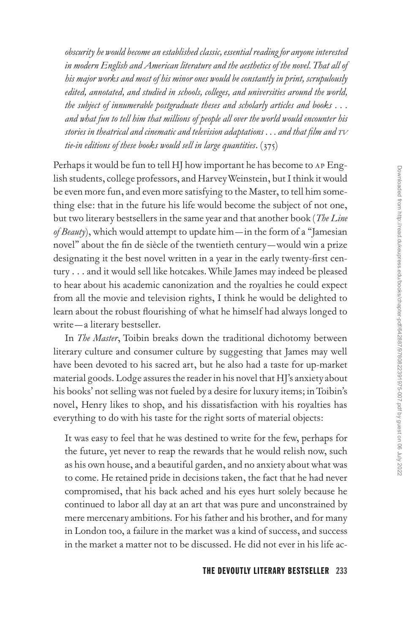*obscurity he would become an established classic, essential reading for anyone interested in modern English and American literature and the aesthetics of the novel. That all of his major works and most of his minor ones would be constantly in print, scrupulously edited, annotated, and studied in schools, colleges, and universities around the world, the subject of innumerable postgraduate theses and scholarly articles and books . . . and what fun to tell him that millions of people all over the world would encounter his stories in theatrical and cinematic and television adaptations . . . and that film and TV tie-in editions of these books would sell in large quantities*. (375)

Perhaps it would be fun to tell HJ how important he has become to AP English students, college professors, and Harvey Weinstein, but I think it would be even more fun, and even more satisfying to the Master, to tell him something else: that in the future his life would become the subject of not one, but two literary bestsellers in the same year and that another book (*The Line of Beauty*), which would attempt to update him—in the form of a "Jamesian novel" about the fin de siècle of the twentieth century—would win a prize designating it the best novel written in a year in the early twenty-first century . . . and it would sell like hotcakes. While James may indeed be pleased to hear about his academic canonization and the royalties he could expect from all the movie and television rights, I think he would be delighted to learn about the robust flourishing of what he himself had always longed to write—a literary bestseller.

In *The Master*, Toibin breaks down the traditional dichotomy between literary culture and consumer culture by suggesting that James may well have been devoted to his sacred art, but he also had a taste for up-market material goods. Lodge assures the reader in his novel that HJ's anxiety about his books' not selling was not fueled by a desire for luxury items; in Toibin's novel, Henry likes to shop, and his dissatisfaction with his royalties has everything to do with his taste for the right sorts of material objects:

It was easy to feel that he was destined to write for the few, perhaps for the future, yet never to reap the rewards that he would relish now, such as his own house, and a beautiful garden, and no anxiety about what was to come. He retained pride in decisions taken, the fact that he had never compromised, that his back ached and his eyes hurt solely because he continued to labor all day at an art that was pure and unconstrained by mere mercenary ambitions. For his father and his brother, and for many in London too, a failure in the market was a kind of success, and success in the market a matter not to be discussed. He did not ever in his life ac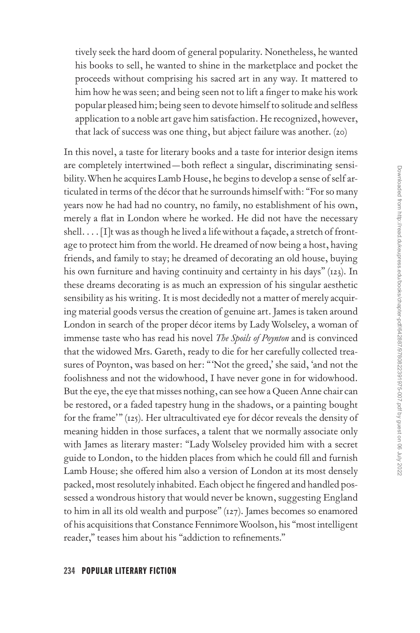tively seek the hard doom of general popularity. Nonetheless, he wanted his books to sell, he wanted to shine in the marketplace and pocket the proceeds without comprising his sacred art in any way. It mattered to him how he was seen; and being seen not to lift a finger to make his work popular pleased him; being seen to devote himself to solitude and selfless application to a noble art gave him satisfaction. He recognized, however, that lack of success was one thing, but abject failure was another. (20)

In this novel, a taste for literary books and a taste for interior design items are completely intertwined—both reflect a singular, discriminating sensibility. When he acquires Lamb House, he begins to develop a sense of self articulated in terms of the décor that he surrounds himself with: "For so many years now he had had no country, no family, no establishment of his own, merely a flat in London where he worked. He did not have the necessary shell. . . . [I]t was as though he lived a life without a façade, a stretch of frontage to protect him from the world. He dreamed of now being a host, having friends, and family to stay; he dreamed of decorating an old house, buying his own furniture and having continuity and certainty in his days" (123). In these dreams decorating is as much an expression of his singular aesthetic sensibility as his writing. It is most decidedly not a matter of merely acquiring material goods versus the creation of genuine art. James is taken around London in search of the proper décor items by Lady Wolseley, a woman of immense taste who has read his novel *The Spoils of Poynton* and is convinced that the widowed Mrs. Gareth, ready to die for her carefully collected treasures of Poynton, was based on her: "'Not the greed,' she said, 'and not the foolishness and not the widowhood, I have never gone in for widowhood. But the eye, the eye that misses nothing, can see how a Queen Anne chair can be restored, or a faded tapestry hung in the shadows, or a painting bought for the frame'" (125). Her ultracultivated eye for décor reveals the density of meaning hidden in those surfaces, a talent that we normally associate only with James as literary master: "Lady Wolseley provided him with a secret guide to London, to the hidden places from which he could fill and furnish Lamb House; she offered him also a version of London at its most densely packed, most resolutely inhabited. Each object he fingered and handled possessed a wondrous history that would never be known, suggesting England to him in all its old wealth and purpose" (127). James becomes so enamored of his acquisitions that Constance Fennimore Woolson, his "most intelligent reader," teases him about his "addiction to refinements."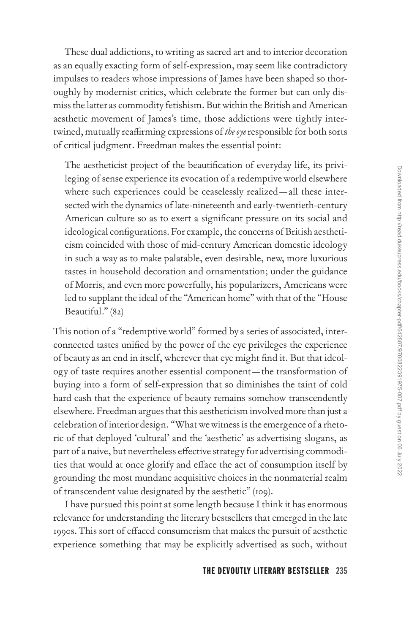These dual addictions, to writing as sacred art and to interior decoration as an equally exacting form of self-expression, may seem like contradictory impulses to readers whose impressions of James have been shaped so thoroughly by modernist critics, which celebrate the former but can only dismiss the latter as commodity fetishism. But within the British and American aesthetic movement of James's time, those addictions were tightly intertwined, mutually reaffirming expressions of *the eye* responsible for both sorts of critical judgment. Freedman makes the essential point:

The aestheticist project of the beautification of everyday life, its privileging of sense experience its evocation of a redemptive world elsewhere where such experiences could be ceaselessly realized—all these intersected with the dynamics of late-nineteenth and early-twentieth-century American culture so as to exert a significant pressure on its social and ideological configurations. For example, the concerns of British aestheticism coincided with those of mid-century American domestic ideology in such a way as to make palatable, even desirable, new, more luxurious tastes in household decoration and ornamentation; under the guidance of Morris, and even more powerfully, his popularizers, Americans were led to supplant the ideal of the "American home" with that of the "House Beautiful." (82)

This notion of a "redemptive world" formed by a series of associated, interconnected tastes unified by the power of the eye privileges the experience of beauty as an end in itself, wherever that eye might find it. But that ideology of taste requires another essential component—the transformation of buying into a form of self-expression that so diminishes the taint of cold hard cash that the experience of beauty remains somehow transcendently elsewhere. Freedman argues that this aestheticism involved more than just a celebration of interior design. "What we witness is the emergence of a rhetoric of that deployed 'cultural' and the 'aesthetic' as advertising slogans, as part of a naive, but nevertheless effective strategy for advertising commodities that would at once glorify and efface the act of consumption itself by grounding the most mundane acquisitive choices in the nonmaterial realm of transcendent value designated by the aesthetic" (109).

I have pursued this point at some length because I think it has enormous relevance for understanding the literary bestsellers that emerged in the late 1990s. This sort of effaced consumerism that makes the pursuit of aesthetic experience something that may be explicitly advertised as such, without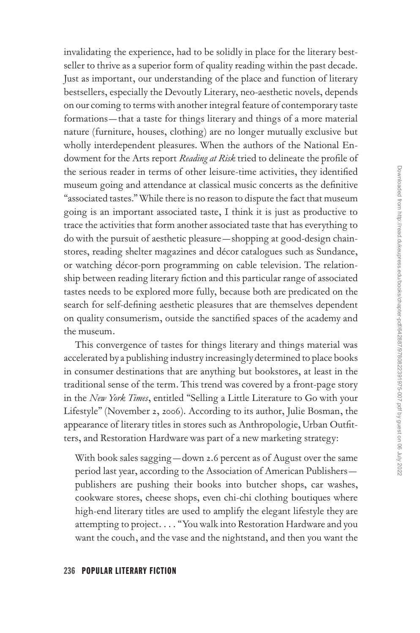invalidating the experience, had to be solidly in place for the literary bestseller to thrive as a superior form of quality reading within the past decade. Just as important, our understanding of the place and function of literary bestsellers, especially the Devoutly Literary, neo-aesthetic novels, depends on our coming to terms with another integral feature of contemporary taste formations—that a taste for things literary and things of a more material nature (furniture, houses, clothing) are no longer mutually exclusive but wholly interdependent pleasures. When the authors of the National Endowment for the Arts report *Reading at Risk* tried to delineate the profile of the serious reader in terms of other leisure-time activities, they identified museum going and attendance at classical music concerts as the definitive "associated tastes." While there is no reason to dispute the fact that museum going is an important associated taste, I think it is just as productive to trace the activities that form another associated taste that has everything to do with the pursuit of aesthetic pleasure—shopping at good-design chainstores, reading shelter magazines and décor catalogues such as Sundance, or watching décor-porn programming on cable television. The relationship between reading literary fiction and this particular range of associated tastes needs to be explored more fully, because both are predicated on the search for self-defining aesthetic pleasures that are themselves dependent on quality consumerism, outside the sanctified spaces of the academy and the museum.

This convergence of tastes for things literary and things material was accelerated by a publishing industry increasingly determined to place books in consumer destinations that are anything but bookstores, at least in the traditional sense of the term. This trend was covered by a front-page story in the *New York Times*, entitled "Selling a Little Literature to Go with your Lifestyle" (November 2, 2006). According to its author, Julie Bosman, the appearance of literary titles in stores such as Anthropologie, Urban Outfitters, and Restoration Hardware was part of a new marketing strategy:

With book sales sagging—down 2.6 percent as of August over the same period last year, according to the Association of American Publishers publishers are pushing their books into butcher shops, car washes, cookware stores, cheese shops, even chi-chi clothing boutiques where high-end literary titles are used to amplify the elegant lifestyle they are attempting to project. . . . "You walk into Restoration Hardware and you want the couch, and the vase and the nightstand, and then you want the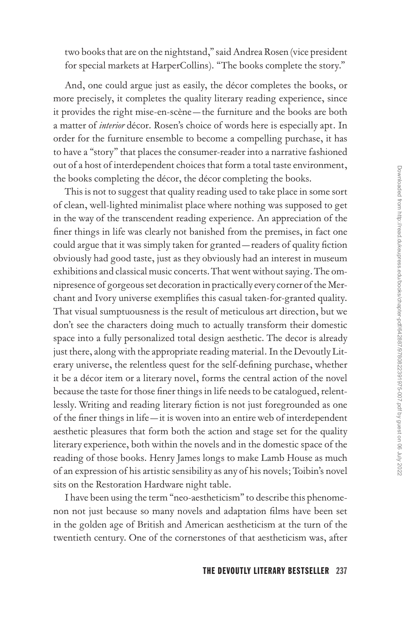two books that are on the nightstand," said Andrea Rosen (vice president for special markets at HarperCollins). "The books complete the story."

And, one could argue just as easily, the décor completes the books, or more precisely, it completes the quality literary reading experience, since it provides the right mise-en-scène—the furniture and the books are both a matter of *interior* décor. Rosen's choice of words here is especially apt. In order for the furniture ensemble to become a compelling purchase, it has to have a "story" that places the consumer-reader into a narrative fashioned out of a host of interdependent choices that form a total taste environment, the books completing the décor, the décor completing the books.

This is not to suggest that quality reading used to take place in some sort of clean, well-lighted minimalist place where nothing was supposed to get in the way of the transcendent reading experience. An appreciation of the finer things in life was clearly not banished from the premises, in fact one could argue that it was simply taken for granted—readers of quality fiction obviously had good taste, just as they obviously had an interest in museum exhibitions and classical music concerts. That went without saying. The omnipresence of gorgeous set decoration in practically every corner of the Merchant and Ivory universe exemplifies this casual taken-for-granted quality. That visual sumptuousness is the result of meticulous art direction, but we don't see the characters doing much to actually transform their domestic space into a fully personalized total design aesthetic. The decor is already just there, along with the appropriate reading material. In the Devoutly Literary universe, the relentless quest for the self-defining purchase, whether it be a décor item or a literary novel, forms the central action of the novel because the taste for those finer things in life needs to be catalogued, relentlessly. Writing and reading literary fiction is not just foregrounded as one of the finer things in life—it is woven into an entire web of interdependent aesthetic pleasures that form both the action and stage set for the quality literary experience, both within the novels and in the domestic space of the reading of those books. Henry James longs to make Lamb House as much of an expression of his artistic sensibility as any of his novels; Toibin's novel sits on the Restoration Hardware night table.

I have been using the term "neo-aestheticism" to describe this phenomenon not just because so many novels and adaptation films have been set in the golden age of British and American aestheticism at the turn of the twentieth century. One of the cornerstones of that aestheticism was, after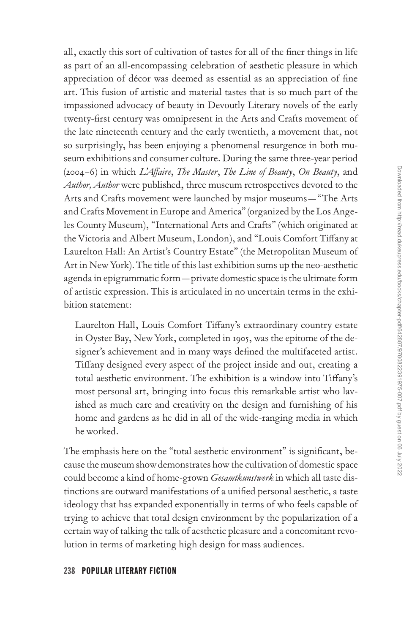all, exactly this sort of cultivation of tastes for all of the finer things in life as part of an all-encompassing celebration of aesthetic pleasure in which appreciation of décor was deemed as essential as an appreciation of fine art. This fusion of artistic and material tastes that is so much part of the impassioned advocacy of beauty in Devoutly Literary novels of the early twenty-first century was omnipresent in the Arts and Crafts movement of the late nineteenth century and the early twentieth, a movement that, not so surprisingly, has been enjoying a phenomenal resurgence in both museum exhibitions and consumer culture. During the same three-year period (2004–6) in which *L'Affaire*, *The Master*, *The Line of Beauty*, *On Beauty*, and *Author, Author* were published, three museum retrospectives devoted to the Arts and Crafts movement were launched by major museums—"The Arts and Crafts Movement in Europe and America" (organized by the Los Angeles County Museum), "International Arts and Crafts" (which originated at the Victoria and Albert Museum, London), and "Louis Comfort Tiffany at Laurelton Hall: An Artist's Country Estate" (the Metropolitan Museum of Art in New York). The title of this last exhibition sums up the neo-aesthetic agenda in epigrammatic form—private domestic space is the ultimate form of artistic expression. This is articulated in no uncertain terms in the exhibition statement:

Laurelton Hall, Louis Comfort Tiffany's extraordinary country estate in Oyster Bay, New York, completed in 1905, was the epitome of the designer's achievement and in many ways defined the multifaceted artist. Tiffany designed every aspect of the project inside and out, creating a total aesthetic environment. The exhibition is a window into Tiffany's most personal art, bringing into focus this remarkable artist who lavished as much care and creativity on the design and furnishing of his home and gardens as he did in all of the wide-ranging media in which he worked.

The emphasis here on the "total aesthetic environment" is significant, because the museum show demonstrates how the cultivation of domestic space could become a kind of home-grown *Gesamtkunstwerk* in which all taste distinctions are outward manifestations of a unified personal aesthetic, a taste ideology that has expanded exponentially in terms of who feels capable of trying to achieve that total design environment by the popularization of a certain way of talking the talk of aesthetic pleasure and a concomitant revolution in terms of marketing high design for mass audiences.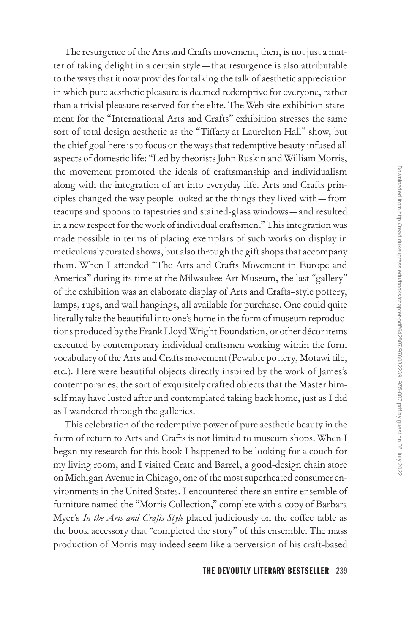The resurgence of the Arts and Crafts movement, then, is not just a matter of taking delight in a certain style—that resurgence is also attributable to the ways that it now provides for talking the talk of aesthetic appreciation in which pure aesthetic pleasure is deemed redemptive for everyone, rather than a trivial pleasure reserved for the elite. The Web site exhibition statement for the "International Arts and Crafts" exhibition stresses the same sort of total design aesthetic as the "Tiffany at Laurelton Hall" show, but the chief goal here is to focus on the ways that redemptive beauty infused all aspects of domestic life: "Led by theorists John Ruskin and William Morris, the movement promoted the ideals of craftsmanship and individualism along with the integration of art into everyday life. Arts and Crafts principles changed the way people looked at the things they lived with—from teacups and spoons to tapestries and stained-glass windows—and resulted in a new respect for the work of individual craftsmen." This integration was made possible in terms of placing exemplars of such works on display in meticulously curated shows, but also through the gift shops that accompany them. When I attended "The Arts and Crafts Movement in Europe and America" during its time at the Milwaukee Art Museum, the last "gallery" of the exhibition was an elaborate display of Arts and Crafts–style pottery, lamps, rugs, and wall hangings, all available for purchase. One could quite literally take the beautiful into one's home in the form of museum reproductions produced by the Frank Lloyd Wright Foundation, or other décor items executed by contemporary individual craftsmen working within the form vocabulary of the Arts and Crafts movement (Pewabic pottery, Motawi tile, etc.). Here were beautiful objects directly inspired by the work of James's contemporaries, the sort of exquisitely crafted objects that the Master himself may have lusted after and contemplated taking back home, just as I did as I wandered through the galleries.

This celebration of the redemptive power of pure aesthetic beauty in the form of return to Arts and Crafts is not limited to museum shops. When I began my research for this book I happened to be looking for a couch for my living room, and I visited Crate and Barrel, a good-design chain store on Michigan Avenue in Chicago, one of the most superheated consumer environments in the United States. I encountered there an entire ensemble of furniture named the "Morris Collection," complete with a copy of Barbara Myer's *In the Arts and Crafts Style* placed judiciously on the coffee table as the book accessory that "completed the story" of this ensemble. The mass production of Morris may indeed seem like a perversion of his craft-based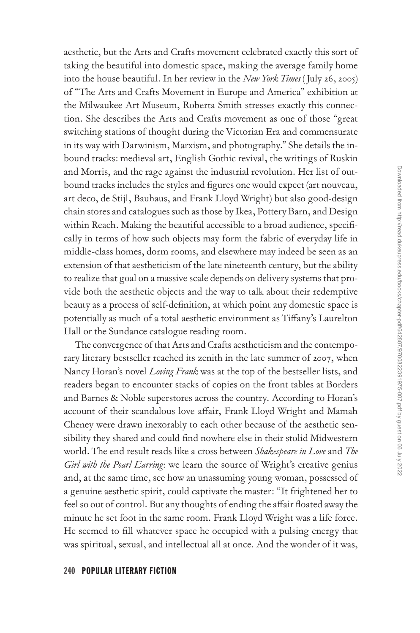aesthetic, but the Arts and Crafts movement celebrated exactly this sort of taking the beautiful into domestic space, making the average family home into the house beautiful. In her review in the *New York Times* (July 26, 2005) of "The Arts and Crafts Movement in Europe and America" exhibition at the Milwaukee Art Museum, Roberta Smith stresses exactly this connection. She describes the Arts and Crafts movement as one of those "great switching stations of thought during the Victorian Era and commensurate in its way with Darwinism, Marxism, and photography." She details the inbound tracks: medieval art, English Gothic revival, the writings of Ruskin and Morris, and the rage against the industrial revolution. Her list of outbound tracks includes the styles and figures one would expect (art nouveau, art deco, de Stijl, Bauhaus, and Frank Lloyd Wright) but also good-design chain stores and catalogues such as those by Ikea, Pottery Barn, and Design within Reach. Making the beautiful accessible to a broad audience, specifically in terms of how such objects may form the fabric of everyday life in middle-class homes, dorm rooms, and elsewhere may indeed be seen as an extension of that aestheticism of the late nineteenth century, but the ability to realize that goal on a massive scale depends on delivery systems that provide both the aesthetic objects and the way to talk about their redemptive beauty as a process of self-definition, at which point any domestic space is potentially as much of a total aesthetic environment as Tiffany's Laurelton Hall or the Sundance catalogue reading room.

The convergence of that Arts and Crafts aestheticism and the contemporary literary bestseller reached its zenith in the late summer of 2007, when Nancy Horan's novel *Loving Frank* was at the top of the bestseller lists, and readers began to encounter stacks of copies on the front tables at Borders and Barnes & Noble superstores across the country. According to Horan's account of their scandalous love affair, Frank Lloyd Wright and Mamah Cheney were drawn inexorably to each other because of the aesthetic sensibility they shared and could find nowhere else in their stolid Midwestern world. The end result reads like a cross between *Shakespeare in Love* and *The Girl with the Pearl Earring*: we learn the source of Wright's creative genius and, at the same time, see how an unassuming young woman, possessed of a genuine aesthetic spirit, could captivate the master: "It frightened her to feel so out of control. But any thoughts of ending the affair floated away the minute he set foot in the same room. Frank Lloyd Wright was a life force. He seemed to fill whatever space he occupied with a pulsing energy that was spiritual, sexual, and intellectual all at once. And the wonder of it was,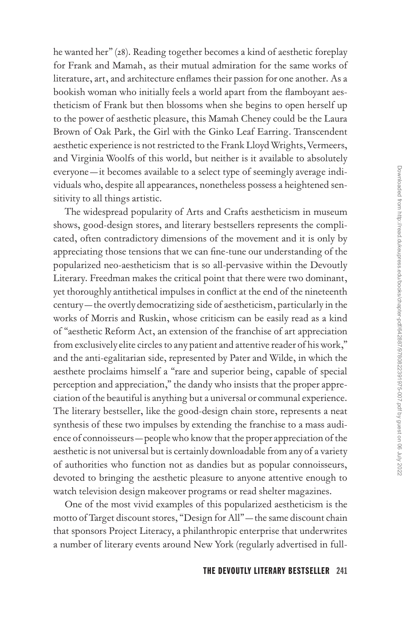he wanted her" (28). Reading together becomes a kind of aesthetic foreplay for Frank and Mamah, as their mutual admiration for the same works of literature, art, and architecture enflames their passion for one another. As a bookish woman who initially feels a world apart from the flamboyant aestheticism of Frank but then blossoms when she begins to open herself up to the power of aesthetic pleasure, this Mamah Cheney could be the Laura Brown of Oak Park, the Girl with the Ginko Leaf Earring. Transcendent aesthetic experience is not restricted to the Frank Lloyd Wrights, Vermeers, and Virginia Woolfs of this world, but neither is it available to absolutely everyone—it becomes available to a select type of seemingly average individuals who, despite all appearances, nonetheless possess a heightened sensitivity to all things artistic.

The widespread popularity of Arts and Crafts aestheticism in museum shows, good-design stores, and literary bestsellers represents the complicated, often contradictory dimensions of the movement and it is only by appreciating those tensions that we can fine-tune our understanding of the popularized neo-aestheticism that is so all-pervasive within the Devoutly Literary. Freedman makes the critical point that there were two dominant, yet thoroughly antithetical impulses in conflict at the end of the nineteenth century—the overtly democratizing side of aestheticism, particularly in the works of Morris and Ruskin, whose criticism can be easily read as a kind of "aesthetic Reform Act, an extension of the franchise of art appreciation from exclusively elite circles to any patient and attentive reader of his work," and the anti-egalitarian side, represented by Pater and Wilde, in which the aesthete proclaims himself a "rare and superior being, capable of special perception and appreciation," the dandy who insists that the proper appreciation of the beautiful is anything but a universal or communal experience. The literary bestseller, like the good-design chain store, represents a neat synthesis of these two impulses by extending the franchise to a mass audience of connoisseurs—people who know that the proper appreciation of the aesthetic is not universal but is certainly downloadable from any of a variety of authorities who function not as dandies but as popular connoisseurs, devoted to bringing the aesthetic pleasure to anyone attentive enough to watch television design makeover programs or read shelter magazines.

One of the most vivid examples of this popularized aestheticism is the motto of Target discount stores, "Design for All"—the same discount chain that sponsors Project Literacy, a philanthropic enterprise that underwrites a number of literary events around New York (regularly advertised in full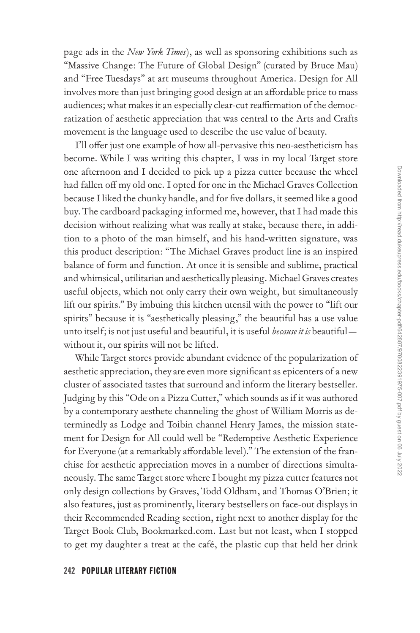page ads in the *New York Times*), as well as sponsoring exhibitions such as "Massive Change: The Future of Global Design" (curated by Bruce Mau) and "Free Tuesdays" at art museums throughout America. Design for All involves more than just bringing good design at an affordable price to mass audiences; what makes it an especially clear-cut reaffirmation of the democratization of aesthetic appreciation that was central to the Arts and Crafts movement is the language used to describe the use value of beauty.

I'll offer just one example of how all-pervasive this neo-aestheticism has become. While I was writing this chapter, I was in my local Target store one afternoon and I decided to pick up a pizza cutter because the wheel had fallen off my old one. I opted for one in the Michael Graves Collection because I liked the chunky handle, and for five dollars, it seemed like a good buy. The cardboard packaging informed me, however, that I had made this decision without realizing what was really at stake, because there, in addition to a photo of the man himself, and his hand-written signature, was this product description: "The Michael Graves product line is an inspired balance of form and function. At once it is sensible and sublime, practical and whimsical, utilitarian and aesthetically pleasing. Michael Graves creates useful objects, which not only carry their own weight, but simultaneously lift our spirits." By imbuing this kitchen utensil with the power to "lift our spirits" because it is "aesthetically pleasing," the beautiful has a use value unto itself; is not just useful and beautiful, it is useful *because it is* beautiful without it, our spirits will not be lifted.

While Target stores provide abundant evidence of the popularization of aesthetic appreciation, they are even more significant as epicenters of a new cluster of associated tastes that surround and inform the literary bestseller. Judging by this "Ode on a Pizza Cutter," which sounds as if it was authored by a contemporary aesthete channeling the ghost of William Morris as determinedly as Lodge and Toibin channel Henry James, the mission statement for Design for All could well be "Redemptive Aesthetic Experience for Everyone (at a remarkably affordable level)." The extension of the franchise for aesthetic appreciation moves in a number of directions simultaneously. The same Target store where I bought my pizza cutter features not only design collections by Graves, Todd Oldham, and Thomas O'Brien; it also features, just as prominently, literary bestsellers on face-out displays in their Recommended Reading section, right next to another display for the Target Book Club, Bookmarked.com. Last but not least, when I stopped to get my daughter a treat at the café, the plastic cup that held her drink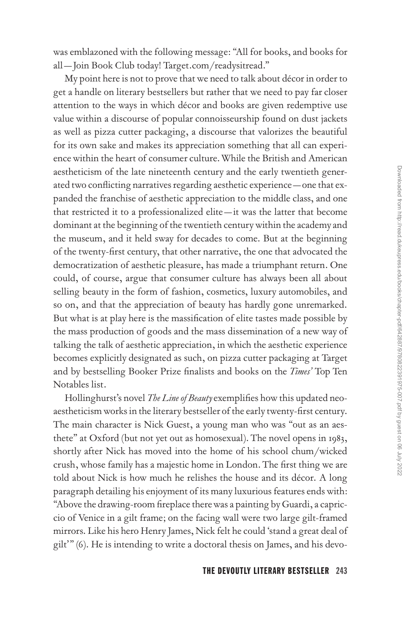was emblazoned with the following message: "All for books, and books for all—Join Book Club today! Target.com/readysitread."

My point here is not to prove that we need to talk about décor in order to get a handle on literary bestsellers but rather that we need to pay far closer attention to the ways in which décor and books are given redemptive use value within a discourse of popular connoisseurship found on dust jackets as well as pizza cutter packaging, a discourse that valorizes the beautiful for its own sake and makes its appreciation something that all can experience within the heart of consumer culture. While the British and American aestheticism of the late nineteenth century and the early twentieth generated two conflicting narratives regarding aesthetic experience—one that expanded the franchise of aesthetic appreciation to the middle class, and one that restricted it to a professionalized elite—it was the latter that become dominant at the beginning of the twentieth century within the academy and the museum, and it held sway for decades to come. But at the beginning of the twenty-first century, that other narrative, the one that advocated the democratization of aesthetic pleasure, has made a triumphant return. One could, of course, argue that consumer culture has always been all about selling beauty in the form of fashion, cosmetics, luxury automobiles, and so on, and that the appreciation of beauty has hardly gone unremarked. But what is at play here is the massification of elite tastes made possible by the mass production of goods and the mass dissemination of a new way of talking the talk of aesthetic appreciation, in which the aesthetic experience becomes explicitly designated as such, on pizza cutter packaging at Target and by bestselling Booker Prize finalists and books on the *Times'* Top Ten Notables list.

Hollinghurst's novel *The Line of Beauty* exemplifies how this updated neoaestheticism works in the literary bestseller of the early twenty-first century. The main character is Nick Guest, a young man who was "out as an aesthete" at Oxford (but not yet out as homosexual). The novel opens in 1983, shortly after Nick has moved into the home of his school chum/wicked crush, whose family has a majestic home in London. The first thing we are told about Nick is how much he relishes the house and its décor. A long paragraph detailing his enjoyment of its many luxurious features ends with: "Above the drawing-room fireplace there was a painting by Guardi, a capriccio of Venice in a gilt frame; on the facing wall were two large gilt-framed mirrors. Like his hero Henry James, Nick felt he could 'stand a great deal of gilt'" (6). He is intending to write a doctoral thesis on James, and his devo-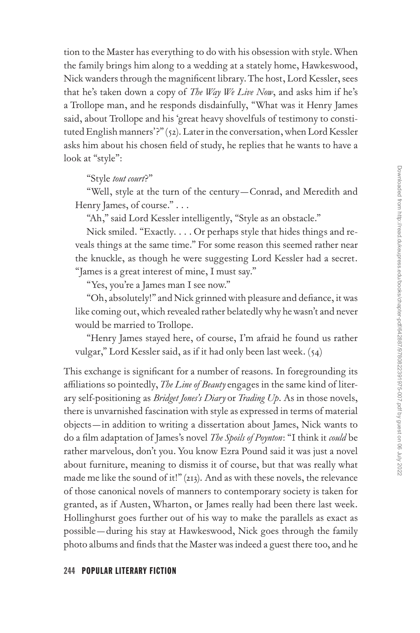tion to the Master has everything to do with his obsession with style. When the family brings him along to a wedding at a stately home, Hawkeswood, Nick wanders through the magnificent library. The host, Lord Kessler, sees that he's taken down a copy of *The Way We Live Now*, and asks him if he's a Trollope man, and he responds disdainfully, "What was it Henry James said, about Trollope and his 'great heavy shovelfuls of testimony to constituted English manners'?" (52). Later in the conversation, when Lord Kessler asks him about his chosen field of study, he replies that he wants to have a look at "style":

#### "Style *tout court*?"

"Well, style at the turn of the century—Conrad, and Meredith and Henry James, of course." . . .

"Ah," said Lord Kessler intelligently, "Style as an obstacle."

Nick smiled. "Exactly. . . . Or perhaps style that hides things and reveals things at the same time." For some reason this seemed rather near the knuckle, as though he were suggesting Lord Kessler had a secret. "James is a great interest of mine, I must say."

"Yes, you're a James man I see now."

"Oh, absolutely!" and Nick grinned with pleasure and defiance, it was like coming out, which revealed rather belatedly why he wasn't and never would be married to Trollope.

"Henry James stayed here, of course, I'm afraid he found us rather vulgar," Lord Kessler said, as if it had only been last week. (54)

This exchange is significant for a number of reasons. In foregrounding its affiliations so pointedly, *The Line of Beauty* engages in the same kind of literary self-positioning as *Bridget Jones's Diary* or *Trading Up*. As in those novels, there is unvarnished fascination with style as expressed in terms of material objects—in addition to writing a dissertation about James, Nick wants to do a film adaptation of James's novel *The Spoils of Poynton*: "I think it *could* be rather marvelous, don't you. You know Ezra Pound said it was just a novel about furniture, meaning to dismiss it of course, but that was really what made me like the sound of it!" (213). And as with these novels, the relevance of those canonical novels of manners to contemporary society is taken for granted, as if Austen, Wharton, or James really had been there last week. Hollinghurst goes further out of his way to make the parallels as exact as possible—during his stay at Hawkeswood, Nick goes through the family photo albums and finds that the Master was indeed a guest there too, and he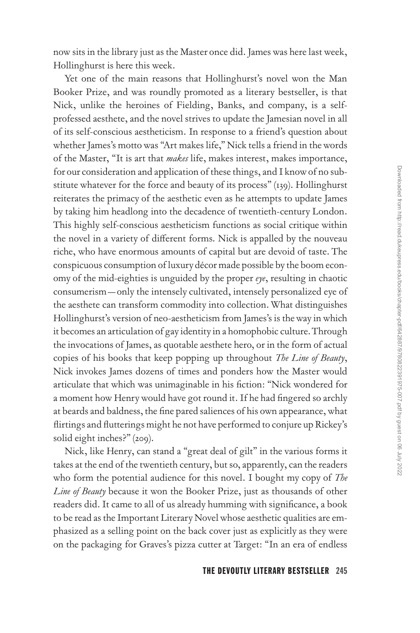now sits in the library just as the Master once did. James was here last week, Hollinghurst is here this week.

Yet one of the main reasons that Hollinghurst's novel won the Man Booker Prize, and was roundly promoted as a literary bestseller, is that Nick, unlike the heroines of Fielding, Banks, and company, is a selfprofessed aesthete, and the novel strives to update the Jamesian novel in all of its self-conscious aestheticism. In response to a friend's question about whether James's motto was "Art makes life," Nick tells a friend in the words of the Master, "It is art that *makes* life, makes interest, makes importance, for our consideration and application of these things, and I know of no substitute whatever for the force and beauty of its process" (139). Hollinghurst reiterates the primacy of the aesthetic even as he attempts to update James by taking him headlong into the decadence of twentieth-century London. This highly self-conscious aestheticism functions as social critique within the novel in a variety of different forms. Nick is appalled by the nouveau riche, who have enormous amounts of capital but are devoid of taste. The conspicuous consumption of luxury décor made possible by the boom economy of the mid-eighties is unguided by the proper *eye*, resulting in chaotic consumerism—only the intensely cultivated, intensely personalized eye of the aesthete can transform commodity into collection. What distinguishes Hollinghurst's version of neo-aestheticism from James's is the way in which it becomes an articulation of gay identity in a homophobic culture. Through the invocations of James, as quotable aesthete hero, or in the form of actual copies of his books that keep popping up throughout *The Line of Beauty*, Nick invokes James dozens of times and ponders how the Master would articulate that which was unimaginable in his fiction: "Nick wondered for a moment how Henry would have got round it. If he had fingered so archly at beards and baldness, the fine pared saliences of his own appearance, what flirtings and flutterings might he not have performed to conjure up Rickey's solid eight inches?" (209).

Nick, like Henry, can stand a "great deal of gilt" in the various forms it takes at the end of the twentieth century, but so, apparently, can the readers who form the potential audience for this novel. I bought my copy of *The Line of Beauty* because it won the Booker Prize, just as thousands of other readers did. It came to all of us already humming with significance, a book to be read as the Important Literary Novel whose aesthetic qualities are emphasized as a selling point on the back cover just as explicitly as they were on the packaging for Graves's pizza cutter at Target: "In an era of endless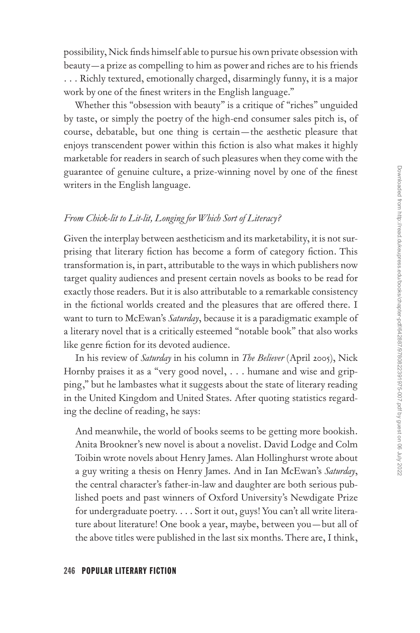possibility, Nick finds himself able to pursue his own private obsession with beauty—a prize as compelling to him as power and riches are to his friends . . . Richly textured, emotionally charged, disarmingly funny, it is a major work by one of the finest writers in the English language."

Whether this "obsession with beauty" is a critique of "riches" unguided by taste, or simply the poetry of the high-end consumer sales pitch is, of course, debatable, but one thing is certain—the aesthetic pleasure that enjoys transcendent power within this fiction is also what makes it highly marketable for readers in search of such pleasures when they come with the guarantee of genuine culture, a prize-winning novel by one of the finest writers in the English language.

#### *From Chick-lit to Lit-lit, Longing for Which Sort of Literacy?*

Given the interplay between aestheticism and its marketability, it is not surprising that literary fiction has become a form of category fiction. This transformation is, in part, attributable to the ways in which publishers now target quality audiences and present certain novels as books to be read for exactly those readers. But it is also attributable to a remarkable consistency in the fictional worlds created and the pleasures that are offered there. I want to turn to McEwan's *Saturday*, because it is a paradigmatic example of a literary novel that is a critically esteemed "notable book" that also works like genre fiction for its devoted audience.

In his review of *Saturday* in his column in *The Believer* (April 2005), Nick Hornby praises it as a "very good novel, . . . humane and wise and gripping," but he lambastes what it suggests about the state of literary reading in the United Kingdom and United States. After quoting statistics regarding the decline of reading, he says:

And meanwhile, the world of books seems to be getting more bookish. Anita Brookner's new novel is about a novelist. David Lodge and Colm Toibin wrote novels about Henry James. Alan Hollinghurst wrote about a guy writing a thesis on Henry James. And in Ian McEwan's *Saturday*, the central character's father-in-law and daughter are both serious published poets and past winners of Oxford University's Newdigate Prize for undergraduate poetry. . . . Sort it out, guys! You can't all write literature about literature! One book a year, maybe, between you—but all of the above titles were published in the last six months. There are, I think,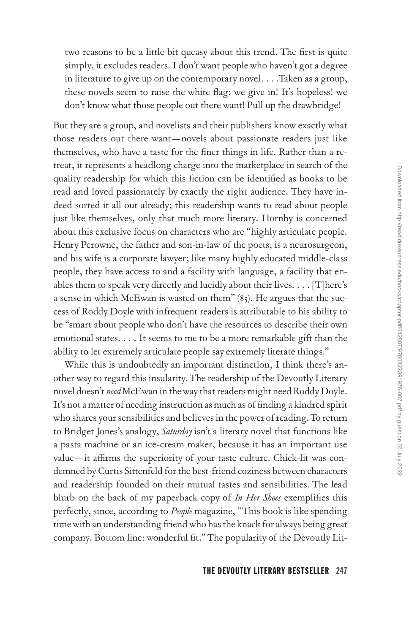two reasons to be a little bit queasy about this trend. The first is quite simply, it excludes readers. I don't want people who haven't got a degree in literature to give up on the contemporary novel. . . .Taken as a group, these novels seem to raise the white flag: we give in! It's hopeless! we don't know what those people out there want! Pull up the drawbridge!

But they are a group, and novelists and their publishers know exactly what those readers out there want—novels about passionate readers just like themselves, who have a taste for the finer things in life. Rather than a retreat, it represents a headlong charge into the marketplace in search of the quality readership for which this fiction can be identified as books to be read and loved passionately by exactly the right audience. They have indeed sorted it all out already; this readership wants to read about people just like themselves, only that much more literary. Hornby is concerned about this exclusive focus on characters who are "highly articulate people. Henry Perowne, the father and son-in-law of the poets, is a neurosurgeon, and his wife is a corporate lawyer; like many highly educated middle-class people, they have access to and a facility with language, a facility that enables them to speak very directly and lucidly about their lives. . . . [T]here's a sense in which McEwan is wasted on them" (83). He argues that the success of Roddy Doyle with infrequent readers is attributable to his ability to be "smart about people who don't have the resources to describe their own emotional states. . . . It seems to me to be a more remarkable gift than the ability to let extremely articulate people say extremely literate things."

While this is undoubtedly an important distinction, I think there's another way to regard this insularity. The readership of the Devoutly Literary novel doesn't *need* McEwan in the way that readers might need Roddy Doyle. It's not a matter of needing instruction as much as of finding a kindred spirit who shares your sensibilities and believes in the power of reading. To return to Bridget Jones's analogy, *Saturday* isn't a literary novel that functions like a pasta machine or an ice-cream maker, because it has an important use value—it affirms the superiority of your taste culture. Chick-lit was condemned by Curtis Sittenfeld for the best-friend coziness between characters and readership founded on their mutual tastes and sensibilities. The lead blurb on the back of my paperback copy of *In Her Shoes* exemplifies this perfectly, since, according to *People* magazine, "This book is like spending time with an understanding friend who has the knack for always being great company. Bottom line: wonderful fit." The popularity of the Devoutly Lit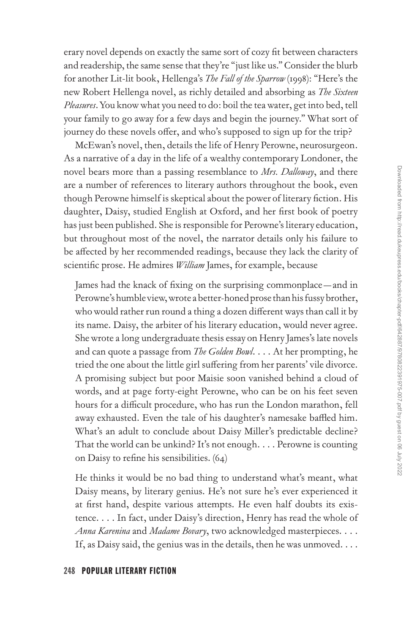erary novel depends on exactly the same sort of cozy fit between characters and readership, the same sense that they're "just like us." Consider the blurb for another Lit-lit book, Hellenga's *The Fall of the Sparrow* (1998): "Here's the new Robert Hellenga novel, as richly detailed and absorbing as *The Sixteen Pleasures*. You know what you need to do: boil the tea water, get into bed, tell your family to go away for a few days and begin the journey." What sort of journey do these novels offer, and who's supposed to sign up for the trip?

McEwan's novel, then, details the life of Henry Perowne, neurosurgeon. As a narrative of a day in the life of a wealthy contemporary Londoner, the novel bears more than a passing resemblance to *Mrs. Dalloway*, and there are a number of references to literary authors throughout the book, even though Perowne himself is skeptical about the power of literary fiction. His daughter, Daisy, studied English at Oxford, and her first book of poetry has just been published. She is responsible for Perowne's literary education, but throughout most of the novel, the narrator details only his failure to be affected by her recommended readings, because they lack the clarity of scientific prose. He admires *William* James, for example, because

James had the knack of fixing on the surprising commonplace—and in Perowne's humble view, wrote a better-honed prose than his fussy brother, who would rather run round a thing a dozen different ways than call it by its name. Daisy, the arbiter of his literary education, would never agree. She wrote a long undergraduate thesis essay on Henry James's late novels and can quote a passage from *The Golden Bowl*. . . . At her prompting, he tried the one about the little girl suffering from her parents' vile divorce. A promising subject but poor Maisie soon vanished behind a cloud of words, and at page forty-eight Perowne, who can be on his feet seven hours for a difficult procedure, who has run the London marathon, fell away exhausted. Even the tale of his daughter's namesake baffled him. What's an adult to conclude about Daisy Miller's predictable decline? That the world can be unkind? It's not enough. . . . Perowne is counting on Daisy to refine his sensibilities. (64)

He thinks it would be no bad thing to understand what's meant, what Daisy means, by literary genius. He's not sure he's ever experienced it at first hand, despite various attempts. He even half doubts its existence. . . . In fact, under Daisy's direction, Henry has read the whole of *Anna Karenina* and *Madame Bovary*, two acknowledged masterpieces. . . . If, as Daisy said, the genius was in the details, then he was unmoved. . . .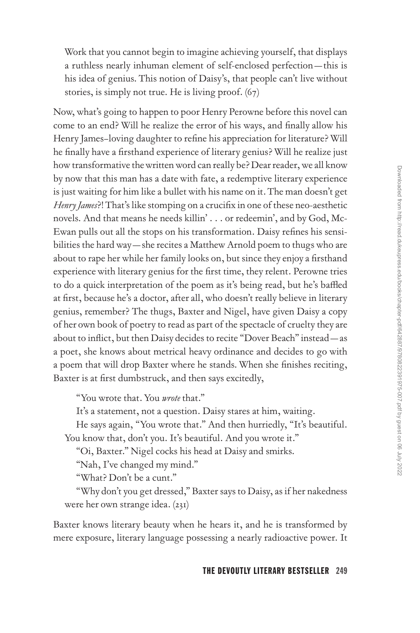Work that you cannot begin to imagine achieving yourself, that displays a ruthless nearly inhuman element of self-enclosed perfection—this is his idea of genius. This notion of Daisy's, that people can't live without stories, is simply not true. He is living proof. (67)

Now, what's going to happen to poor Henry Perowne before this novel can come to an end? Will he realize the error of his ways, and finally allow his Henry James–loving daughter to refine his appreciation for literature? Will he finally have a firsthand experience of literary genius? Will he realize just how transformative the written word can really be? Dear reader, we all know by now that this man has a date with fate, a redemptive literary experience is just waiting for him like a bullet with his name on it. The man doesn't get *Henry James*?! That's like stomping on a crucifix in one of these neo-aesthetic novels. And that means he needs killin' . . . or redeemin', and by God, Mc-Ewan pulls out all the stops on his transformation. Daisy refines his sensibilities the hard way—she recites a Matthew Arnold poem to thugs who are about to rape her while her family looks on, but since they enjoy a firsthand experience with literary genius for the first time, they relent. Perowne tries to do a quick interpretation of the poem as it's being read, but he's baffled at first, because he's a doctor, after all, who doesn't really believe in literary genius, remember? The thugs, Baxter and Nigel, have given Daisy a copy of her own book of poetry to read as part of the spectacle of cruelty they are about to inflict, but then Daisy decides to recite "Dover Beach" instead—as a poet, she knows about metrical heavy ordinance and decides to go with a poem that will drop Baxter where he stands. When she finishes reciting, Baxter is at first dumbstruck, and then says excitedly,

"You wrote that. You *wrote* that."

It's a statement, not a question. Daisy stares at him, waiting.

He says again, "You wrote that." And then hurriedly, "It's beautiful. You know that, don't you. It's beautiful. And you wrote it."

"Oi, Baxter." Nigel cocks his head at Daisy and smirks.

"Nah, I've changed my mind."

"What? Don't be a cunt."

"Why don't you get dressed," Baxter says to Daisy, as if her nakedness were her own strange idea. (231)

Baxter knows literary beauty when he hears it, and he is transformed by mere exposure, literary language possessing a nearly radioactive power. It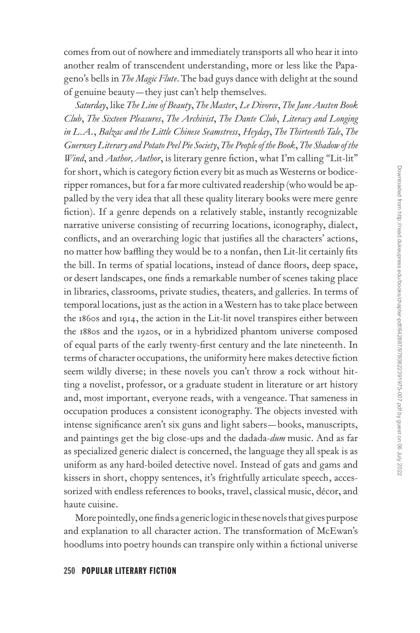comes from out of nowhere and immediately transports all who hear it into another realm of transcendent understanding, more or less like the Papageno's bells in *The Magic Flute*. The bad guys dance with delight at the sound of genuine beauty—they just can't help themselves.

*Saturday*, like *The Line of Beauty*, *The Master*, *Le Divorce*, *The Jane Austen Book Club*, *The Sixteen Pleasures*, *The Archivist*, *The Dante Club*, *Literacy and Longing in L.A*., *Balzac and the Little Chinese Seamstress*, *Heyday*, *The Thirteenth Tale*, *The Guernsey Literary and Potato Peel Pie Society*, *The People of the Book*, *The Shadow of the Wind*, and *Author, Author*, is literary genre fiction, what I'm calling "Lit-lit" for short, which is category fiction every bit as much as Westerns or bodiceripper romances, but for a far more cultivated readership (who would be appalled by the very idea that all these quality literary books were mere genre fiction). If a genre depends on a relatively stable, instantly recognizable narrative universe consisting of recurring locations, iconography, dialect, conflicts, and an overarching logic that justifies all the characters' actions, no matter how baffling they would be to a nonfan, then Lit-lit certainly fits the bill. In terms of spatial locations, instead of dance floors, deep space, or desert landscapes, one finds a remarkable number of scenes taking place in libraries, classrooms, private studies, theaters, and galleries. In terms of temporal locations, just as the action in a Western has to take place between the 1860s and 1914, the action in the Lit-lit novel transpires either between the 1880s and the 1920s, or in a hybridized phantom universe composed of equal parts of the early twenty-first century and the late nineteenth. In terms of character occupations, the uniformity here makes detective fiction seem wildly diverse; in these novels you can't throw a rock without hitting a novelist, professor, or a graduate student in literature or art history and, most important, everyone reads, with a vengeance. That sameness in occupation produces a consistent iconography. The objects invested with intense significance aren't six guns and light sabers—books, manuscripts, and paintings get the big close-ups and the dadada-*dum* music. And as far as specialized generic dialect is concerned, the language they all speak is as uniform as any hard-boiled detective novel. Instead of gats and gams and kissers in short, choppy sentences, it's frightfully articulate speech, accessorized with endless references to books, travel, classical music, décor, and haute cuisine.

More pointedly, one finds a generic logic in these novels that gives purpose and explanation to all character action. The transformation of McEwan's hoodlums into poetry hounds can transpire only within a fictional universe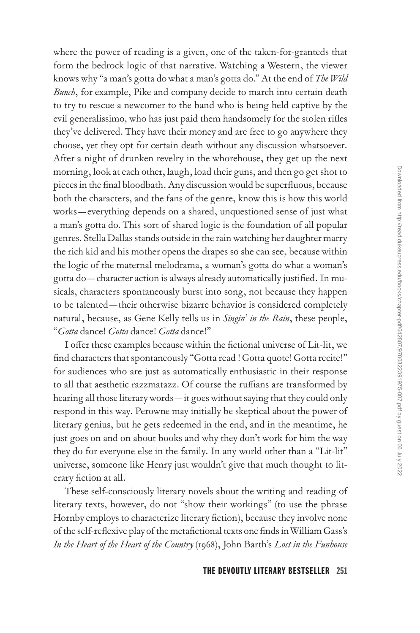where the power of reading is a given, one of the taken-for-granteds that form the bedrock logic of that narrative. Watching a Western, the viewer knows why "a man's gotta do what a man's gotta do." At the end of *The Wild Bunch*, for example, Pike and company decide to march into certain death to try to rescue a newcomer to the band who is being held captive by the evil generalissimo, who has just paid them handsomely for the stolen rifles they've delivered. They have their money and are free to go anywhere they choose, yet they opt for certain death without any discussion whatsoever. After a night of drunken revelry in the whorehouse, they get up the next morning, look at each other, laugh, load their guns, and then go get shot to pieces in the final bloodbath. Any discussion would be superfluous, because both the characters, and the fans of the genre, know this is how this world works—everything depends on a shared, unquestioned sense of just what a man's gotta do. This sort of shared logic is the foundation of all popular genres. Stella Dallas stands outside in the rain watching her daughter marry the rich kid and his mother opens the drapes so she can see, because within the logic of the maternal melodrama, a woman's gotta do what a woman's gotta do—character action is always already automatically justified. In musicals, characters spontaneously burst into song, not because they happen to be talented—their otherwise bizarre behavior is considered completely natural, because, as Gene Kelly tells us in *Singin' in the Rain*, these people, "*Gotta* dance! *Gotta* dance! *Gotta* dance!"

I offer these examples because within the fictional universe of Lit-lit, we find characters that spontaneously "Gotta read ! Gotta quote! Gotta recite!" for audiences who are just as automatically enthusiastic in their response to all that aesthetic razzmatazz. Of course the ruffians are transformed by hearing all those literary words—it goes without saying that they could only respond in this way. Perowne may initially be skeptical about the power of literary genius, but he gets redeemed in the end, and in the meantime, he just goes on and on about books and why they don't work for him the way they do for everyone else in the family. In any world other than a "Lit-lit" universe, someone like Henry just wouldn't give that much thought to literary fiction at all.

These self-consciously literary novels about the writing and reading of literary texts, however, do not "show their workings" (to use the phrase Hornby employs to characterize literary fiction), because they involve none of the self-reflexive play of the metafictional texts one finds in William Gass's *In the Heart of the Heart of the Country* (1968), John Barth's *Lost in the Funhouse*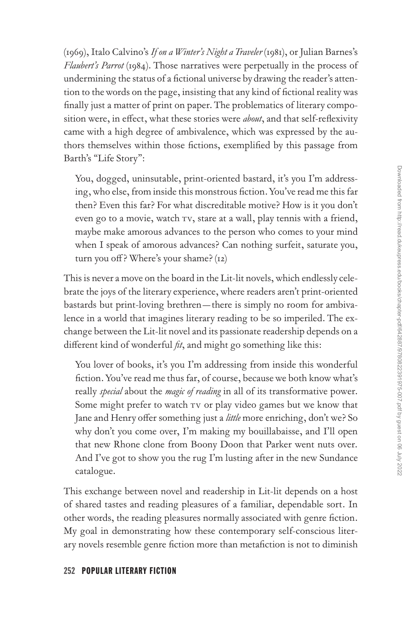(1969), Italo Calvino's *If on a Winter's Night a Traveler* (1981), or Julian Barnes's *Flaubert's Parrot* (1984). Those narratives were perpetually in the process of undermining the status of a fictional universe by drawing the reader's attention to the words on the page, insisting that any kind of fictional reality was finally just a matter of print on paper. The problematics of literary composition were, in effect, what these stories were *about*, and that self-reflexivity came with a high degree of ambivalence, which was expressed by the authors themselves within those fictions, exemplified by this passage from Barth's "Life Story":

You, dogged, uninsutable, print-oriented bastard, it's you I'm addressing, who else, from inside this monstrous fiction. You've read me this far then? Even this far? For what discreditable motive? How is it you don't even go to a movie, watch TV, stare at a wall, play tennis with a friend, maybe make amorous advances to the person who comes to your mind when I speak of amorous advances? Can nothing surfeit, saturate you, turn you off? Where's your shame? (12)

This is never a move on the board in the Lit-lit novels, which endlessly celebrate the joys of the literary experience, where readers aren't print-oriented bastards but print-loving brethren—there is simply no room for ambivalence in a world that imagines literary reading to be so imperiled. The exchange between the Lit-lit novel and its passionate readership depends on a different kind of wonderful *fit*, and might go something like this:

You lover of books, it's you I'm addressing from inside this wonderful fiction. You've read me thus far, of course, because we both know what's really *special* about the *magic of reading* in all of its transformative power. Some might prefer to watch TV or play video games but we know that Jane and Henry offer something just a *little* more enriching, don't we? So why don't you come over, I'm making my bouillabaisse, and I'll open that new Rhone clone from Boony Doon that Parker went nuts over. And I've got to show you the rug I'm lusting after in the new Sundance catalogue.

This exchange between novel and readership in Lit-lit depends on a host of shared tastes and reading pleasures of a familiar, dependable sort. In other words, the reading pleasures normally associated with genre fiction. My goal in demonstrating how these contemporary self-conscious literary novels resemble genre fiction more than metafiction is not to diminish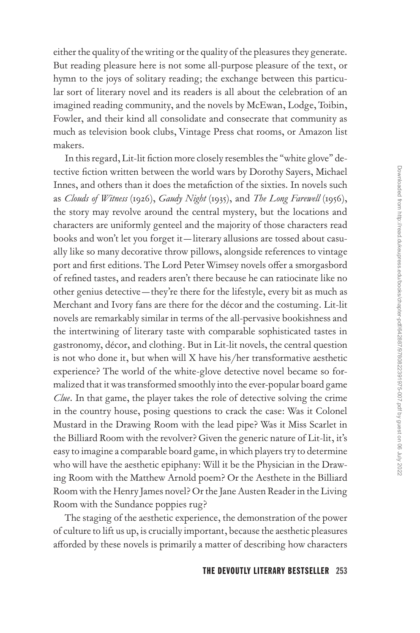either the quality of the writing or the quality of the pleasures they generate. But reading pleasure here is not some all-purpose pleasure of the text, or hymn to the joys of solitary reading; the exchange between this particular sort of literary novel and its readers is all about the celebration of an imagined reading community, and the novels by McEwan, Lodge, Toibin, Fowler, and their kind all consolidate and consecrate that community as much as television book clubs, Vintage Press chat rooms, or Amazon list makers.

In this regard, Lit-lit fiction more closely resembles the "white glove" detective fiction written between the world wars by Dorothy Sayers, Michael Innes, and others than it does the metafiction of the sixties. In novels such as *Clouds of Witness* (1926), *Gaudy Night* (1935), and *The Long Farewell* (1956), the story may revolve around the central mystery, but the locations and characters are uniformly genteel and the majority of those characters read books and won't let you forget it—literary allusions are tossed about casually like so many decorative throw pillows, alongside references to vintage port and first editions. The Lord Peter Wimsey novels offer a smorgasbord of refined tastes, and readers aren't there because he can ratiocinate like no other genius detective—they're there for the lifestyle, every bit as much as Merchant and Ivory fans are there for the décor and the costuming. Lit-lit novels are remarkably similar in terms of the all-pervasive bookishness and the intertwining of literary taste with comparable sophisticated tastes in gastronomy, décor, and clothing. But in Lit-lit novels, the central question is not who done it, but when will X have his/her transformative aesthetic experience? The world of the white-glove detective novel became so formalized that it was transformed smoothly into the ever-popular board game *Clue*. In that game, the player takes the role of detective solving the crime in the country house, posing questions to crack the case: Was it Colonel Mustard in the Drawing Room with the lead pipe? Was it Miss Scarlet in the Billiard Room with the revolver? Given the generic nature of Lit-lit, it's easy to imagine a comparable board game, in which players try to determine who will have the aesthetic epiphany: Will it be the Physician in the Drawing Room with the Matthew Arnold poem? Or the Aesthete in the Billiard Room with the Henry James novel? Or the Jane Austen Reader in the Living Room with the Sundance poppies rug?

The staging of the aesthetic experience, the demonstration of the power of culture to lift us up, is crucially important, because the aesthetic pleasures afforded by these novels is primarily a matter of describing how characters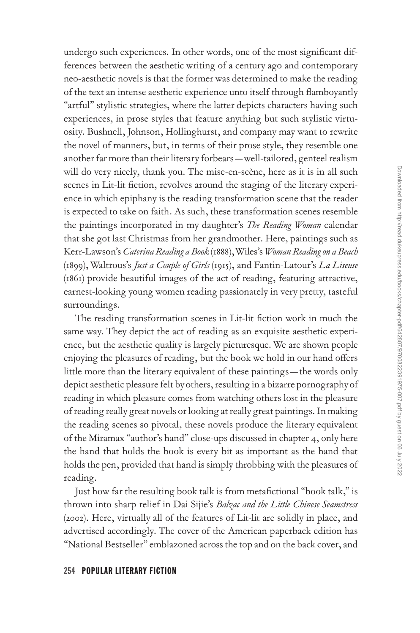undergo such experiences. In other words, one of the most significant differences between the aesthetic writing of a century ago and contemporary neo-aesthetic novels is that the former was determined to make the reading of the text an intense aesthetic experience unto itself through flamboyantly "artful" stylistic strategies, where the latter depicts characters having such experiences, in prose styles that feature anything but such stylistic virtuosity. Bushnell, Johnson, Hollinghurst, and company may want to rewrite the novel of manners, but, in terms of their prose style, they resemble one another far more than their literary forbears—well-tailored, genteel realism will do very nicely, thank you. The mise-en-scène, here as it is in all such scenes in Lit-lit fiction, revolves around the staging of the literary experience in which epiphany is the reading transformation scene that the reader is expected to take on faith. As such, these transformation scenes resemble the paintings incorporated in my daughter's *The Reading Woman* calendar that she got last Christmas from her grandmother. Here, paintings such as Kerr-Lawson's *Caterina Reading a Book* (1888), Wiles's *Woman Reading on a Beach* (1899), Waltrous's *Just a Couple of Girls* (1915), and Fantin-Latour's *La Liseuse* (1861) provide beautiful images of the act of reading, featuring attractive, earnest-looking young women reading passionately in very pretty, tasteful surroundings.

The reading transformation scenes in Lit-lit fiction work in much the same way. They depict the act of reading as an exquisite aesthetic experience, but the aesthetic quality is largely picturesque. We are shown people enjoying the pleasures of reading, but the book we hold in our hand offers little more than the literary equivalent of these paintings—the words only depict aesthetic pleasure felt by others, resulting in a bizarre pornography of reading in which pleasure comes from watching others lost in the pleasure of reading really great novels or looking at really great paintings. In making the reading scenes so pivotal, these novels produce the literary equivalent of the Miramax "author's hand" close-ups discussed in chapter 4, only here the hand that holds the book is every bit as important as the hand that holds the pen, provided that hand is simply throbbing with the pleasures of reading.

Just how far the resulting book talk is from metafictional "book talk," is thrown into sharp relief in Dai Sijie's *Balzac and the Little Chinese Seamstress* (2002). Here, virtually all of the features of Lit*-*lit are solidly in place, and advertised accordingly. The cover of the American paperback edition has "National Bestseller" emblazoned across the top and on the back cover, and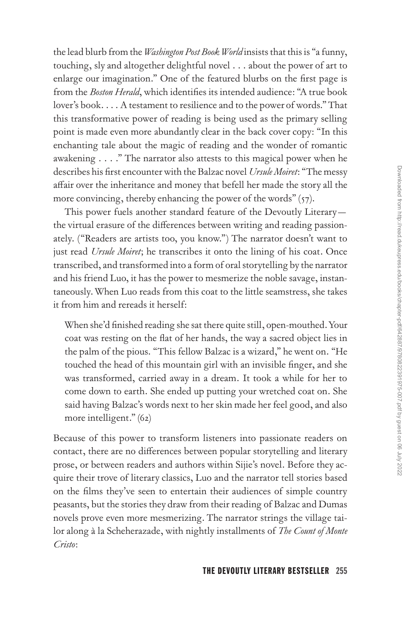the lead blurb from the *Washington Post Book World* insists that this is "a funny, touching, sly and altogether delightful novel . . . about the power of art to enlarge our imagination." One of the featured blurbs on the first page is from the *Boston Herald*, which identifies its intended audience: "A true book lover's book. . . . A testament to resilience and to the power of words." That this transformative power of reading is being used as the primary selling point is made even more abundantly clear in the back cover copy: "In this enchanting tale about the magic of reading and the wonder of romantic awakening . . . ." The narrator also attests to this magical power when he describes his first encounter with the Balzac novel *Ursule Moiret*: "The messy affair over the inheritance and money that befell her made the story all the more convincing, thereby enhancing the power of the words" (57).

This power fuels another standard feature of the Devoutly Literary the virtual erasure of the differences between writing and reading passionately. ("Readers are artists too, you know.") The narrator doesn't want to just read *Ursule Moiret*; he transcribes it onto the lining of his coat. Once transcribed, and transformed into a form of oral storytelling by the narrator and his friend Luo, it has the power to mesmerize the noble savage, instantaneously. When Luo reads from this coat to the little seamstress, she takes it from him and rereads it herself:

When she'd finished reading she sat there quite still, open-mouthed. Your coat was resting on the flat of her hands, the way a sacred object lies in the palm of the pious. "This fellow Balzac is a wizard," he went on. "He touched the head of this mountain girl with an invisible finger, and she was transformed, carried away in a dream. It took a while for her to come down to earth. She ended up putting your wretched coat on. She said having Balzac's words next to her skin made her feel good, and also more intelligent." (62)

Because of this power to transform listeners into passionate readers on contact, there are no differences between popular storytelling and literary prose, or between readers and authors within Sijie's novel. Before they acquire their trove of literary classics, Luo and the narrator tell stories based on the films they've seen to entertain their audiences of simple country peasants, but the stories they draw from their reading of Balzac and Dumas novels prove even more mesmerizing. The narrator strings the village tailor along à la Scheherazade, with nightly installments of *The Count of Monte Cristo*: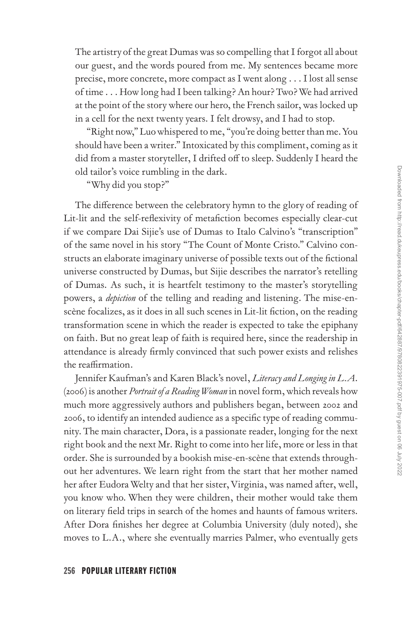The artistry of the great Dumas was so compelling that I forgot all about our guest, and the words poured from me. My sentences became more precise, more concrete, more compact as I went along . . . I lost all sense of time . . . How long had I been talking? An hour? Two? We had arrived at the point of the story where our hero, the French sailor, was locked up in a cell for the next twenty years. I felt drowsy, and I had to stop.

"Right now," Luo whispered to me, "you're doing better than me. You should have been a writer." Intoxicated by this compliment, coming as it did from a master storyteller, I drifted off to sleep. Suddenly I heard the old tailor's voice rumbling in the dark.

"Why did you stop?"

The difference between the celebratory hymn to the glory of reading of Lit-lit and the self-reflexivity of metafiction becomes especially clear-cut if we compare Dai Sijie's use of Dumas to Italo Calvino's "transcription" of the same novel in his story "The Count of Monte Cristo." Calvino constructs an elaborate imaginary universe of possible texts out of the fictional universe constructed by Dumas, but Sijie describes the narrator's retelling of Dumas. As such, it is heartfelt testimony to the master's storytelling powers, a *depiction* of the telling and reading and listening. The mise-enscène focalizes, as it does in all such scenes in Lit-lit fiction, on the reading transformation scene in which the reader is expected to take the epiphany on faith. But no great leap of faith is required here, since the readership in attendance is already firmly convinced that such power exists and relishes the reaffirmation.

Jennifer Kaufman's and Karen Black's novel, *Literacy and Longing in L.A*. (2006) is another *Portrait of a Reading Woman* in novel form, which reveals how much more aggressively authors and publishers began, between 2002 and 2006, to identify an intended audience as a specific type of reading community. The main character, Dora, is a passionate reader, longing for the next right book and the next Mr. Right to come into her life, more or less in that order. She is surrounded by a bookish mise-en-scène that extends throughout her adventures. We learn right from the start that her mother named her after Eudora Welty and that her sister, Virginia, was named after, well, you know who. When they were children, their mother would take them on literary field trips in search of the homes and haunts of famous writers. After Dora finishes her degree at Columbia University (duly noted), she moves to L.A., where she eventually marries Palmer, who eventually gets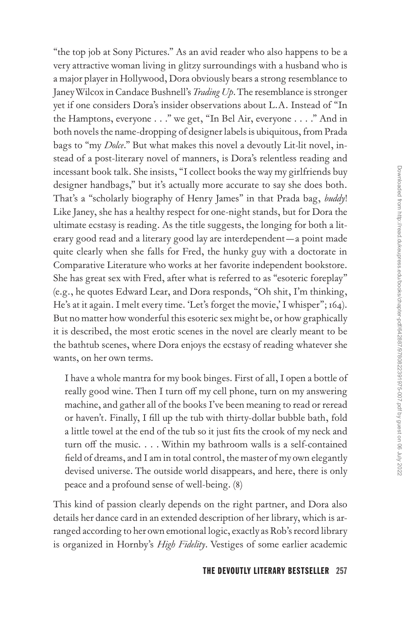"the top job at Sony Pictures." As an avid reader who also happens to be a very attractive woman living in glitzy surroundings with a husband who is a major player in Hollywood, Dora obviously bears a strong resemblance to Janey Wilcox in Candace Bushnell's *Trading Up*. The resemblance is stronger yet if one considers Dora's insider observations about L.A. Instead of "In the Hamptons, everyone . . ." we get, "In Bel Air, everyone . . . ." And in both novels the name-dropping of designer labels is ubiquitous, from Prada bags to "my *Dolce*." But what makes this novel a devoutly Lit*-*lit novel, instead of a post-literary novel of manners, is Dora's relentless reading and incessant book talk. She insists, "I collect books the way my girlfriends buy designer handbags," but it's actually more accurate to say she does both. That's a "scholarly biography of Henry James" in that Prada bag, *buddy*! Like Janey, she has a healthy respect for one-night stands, but for Dora the ultimate ecstasy is reading. As the title suggests, the longing for both a literary good read and a literary good lay are interdependent—a point made quite clearly when she falls for Fred, the hunky guy with a doctorate in Comparative Literature who works at her favorite independent bookstore. She has great sex with Fred, after what is referred to as "esoteric foreplay" (e.g., he quotes Edward Lear, and Dora responds, "Oh shit, I'm thinking, He's at it again. I melt every time. 'Let's forget the movie,' I whisper"; 164). But no matter how wonderful this esoteric sex might be, or how graphically it is described, the most erotic scenes in the novel are clearly meant to be the bathtub scenes, where Dora enjoys the ecstasy of reading whatever she wants, on her own terms.

I have a whole mantra for my book binges. First of all, I open a bottle of really good wine. Then I turn off my cell phone, turn on my answering machine, and gather all of the books I've been meaning to read or reread or haven't. Finally, I fill up the tub with thirty-dollar bubble bath, fold a little towel at the end of the tub so it just fits the crook of my neck and turn off the music. . . . Within my bathroom walls is a self-contained field of dreams, and I am in total control, the master of my own elegantly devised universe. The outside world disappears, and here, there is only peace and a profound sense of well-being. (8)

This kind of passion clearly depends on the right partner, and Dora also details her dance card in an extended description of her library, which is arranged according to her own emotional logic, exactly as Rob's record library is organized in Hornby's *High Fidelity*. Vestiges of some earlier academic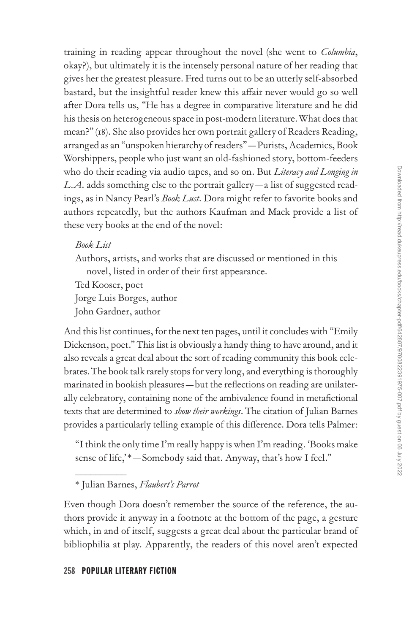training in reading appear throughout the novel (she went to *Columbia*, okay?), but ultimately it is the intensely personal nature of her reading that gives her the greatest pleasure. Fred turns out to be an utterly self-absorbed bastard, but the insightful reader knew this affair never would go so well after Dora tells us, "He has a degree in comparative literature and he did his thesis on heterogeneous space in post-modern literature. What does that mean?" (18). She also provides her own portrait gallery of Readers Reading, arranged as an "unspoken hierarchy of readers"—Purists, Academics, Book Worshippers, people who just want an old-fashioned story, bottom-feeders who do their reading via audio tapes, and so on. But *Literacy and Longing in L.A*. adds something else to the portrait gallery—a list of suggested readings, as in Nancy Pearl's *Book Lust*. Dora might refer to favorite books and authors repeatedly, but the authors Kaufman and Mack provide a list of these very books at the end of the novel:

#### *Book List*

Authors, artists, and works that are discussed or mentioned in this novel, listed in order of their first appearance. Ted Kooser, poet Jorge Luis Borges, author John Gardner, author

And this list continues, for the next ten pages, until it concludes with "Emily Dickenson, poet." This list is obviously a handy thing to have around, and it also reveals a great deal about the sort of reading community this book celebrates. The book talk rarely stops for very long, and everything is thoroughly marinated in bookish pleasures—but the reflections on reading are unilaterally celebratory, containing none of the ambivalence found in metafictional texts that are determined to *show their workings*. The citation of Julian Barnes provides a particularly telling example of this difference. Dora tells Palmer:

"I think the only time I'm really happy is when I'm reading. 'Books make sense of life,'\*—Somebody said that. Anyway, that's how I feel."

\* Julian Barnes, *Flaubert's Parrot*

 $\overline{\phantom{a}}$ 

Even though Dora doesn't remember the source of the reference, the authors provide it anyway in a footnote at the bottom of the page, a gesture which, in and of itself, suggests a great deal about the particular brand of bibliophilia at play. Apparently, the readers of this novel aren't expected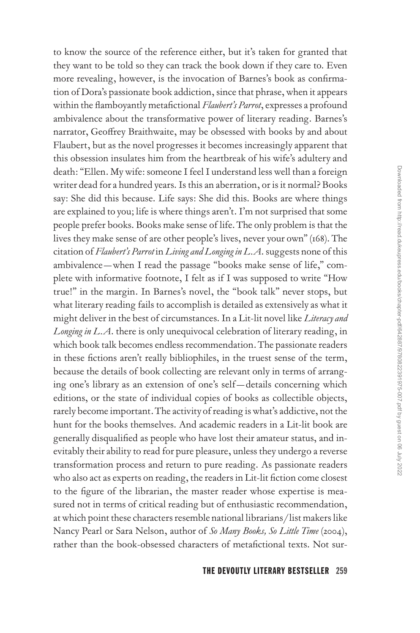to know the source of the reference either, but it's taken for granted that they want to be told so they can track the book down if they care to. Even more revealing, however, is the invocation of Barnes's book as confirmation of Dora's passionate book addiction, since that phrase, when it appears within the flamboyantly metafictional *Flaubert's Parrot*, expresses a profound ambivalence about the transformative power of literary reading. Barnes's narrator, Geoffrey Braithwaite, may be obsessed with books by and about Flaubert, but as the novel progresses it becomes increasingly apparent that this obsession insulates him from the heartbreak of his wife's adultery and death: "Ellen. My wife: someone I feel I understand less well than a foreign writer dead for a hundred years. Is this an aberration, or is it normal? Books say: She did this because. Life says: She did this. Books are where things are explained to you; life is where things aren't. I'm not surprised that some people prefer books. Books make sense of life. The only problem is that the lives they make sense of are other people's lives, never your own" (168). The citation of *Flaubert's Parrot* in *Living and Longing in L.A*. suggests none of this ambivalence—when I read the passage "books make sense of life," complete with informative footnote, I felt as if I was supposed to write "How true!" in the margin. In Barnes's novel, the "book talk" never stops, but what literary reading fails to accomplish is detailed as extensively as what it might deliver in the best of circumstances. In a Lit-lit novel like *Literacy and Longing in L.A*. there is only unequivocal celebration of literary reading, in which book talk becomes endless recommendation. The passionate readers in these fictions aren't really bibliophiles, in the truest sense of the term, because the details of book collecting are relevant only in terms of arranging one's library as an extension of one's self—details concerning which editions, or the state of individual copies of books as collectible objects, rarely become important. The activity of reading is what's addictive, not the hunt for the books themselves. And academic readers in a Lit-lit book are generally disqualified as people who have lost their amateur status, and inevitably their ability to read for pure pleasure, unless they undergo a reverse transformation process and return to pure reading. As passionate readers who also act as experts on reading, the readers in Lit-lit fiction come closest to the figure of the librarian, the master reader whose expertise is measured not in terms of critical reading but of enthusiastic recommendation, at which point these characters resemble national librarians/list makers like Nancy Pearl or Sara Nelson, author of *So Many Books, So Little Time* (2004), rather than the book-obsessed characters of metafictional texts. Not sur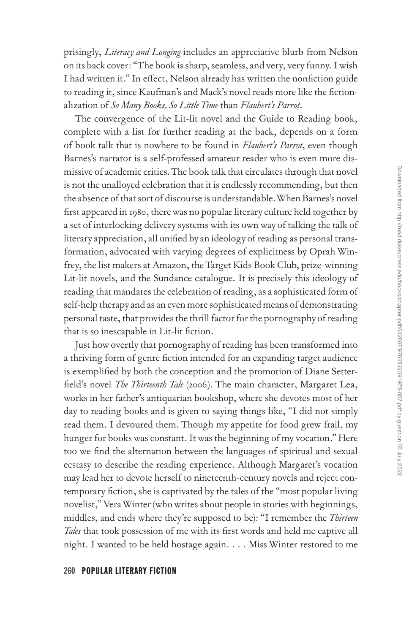prisingly, *Literacy and Longing* includes an appreciative blurb from Nelson on its back cover: "The book is sharp, seamless, and very, very funny. I wish I had written it." In effect, Nelson already has written the nonfiction guide to reading it, since Kaufman's and Mack's novel reads more like the fictionalization of *So Many Books, So Little Time* than *Flaubert's Parrot*.

The convergence of the Lit-lit novel and the Guide to Reading book, complete with a list for further reading at the back, depends on a form of book talk that is nowhere to be found in *Flaubert's Parrot*, even though Barnes's narrator is a self-professed amateur reader who is even more dismissive of academic critics. The book talk that circulates through that novel is not the unalloyed celebration that it is endlessly recommending, but then the absence of that sort of discourse is understandable. When Barnes's novel first appeared in 1980, there was no popular literary culture held together by a set of interlocking delivery systems with its own way of talking the talk of literary appreciation, all unified by an ideology of reading as personal transformation, advocated with varying degrees of explicitness by Oprah Winfrey, the list makers at Amazon, the Target Kids Book Club, prize-winning Lit-lit novels, and the Sundance catalogue. It is precisely this ideology of reading that mandates the celebration of reading, as a sophisticated form of self-help therapy and as an even more sophisticated means of demonstrating personal taste, that provides the thrill factor for the pornography of reading that is so inescapable in Lit-lit fiction.

Just how overtly that pornography of reading has been transformed into a thriving form of genre fiction intended for an expanding target audience is exemplified by both the conception and the promotion of Diane Setterfield's novel *The Thirteenth Tale* (2006). The main character, Margaret Lea, works in her father's antiquarian bookshop, where she devotes most of her day to reading books and is given to saying things like, "I did not simply read them. I devoured them. Though my appetite for food grew frail, my hunger for books was constant. It was the beginning of my vocation." Here too we find the alternation between the languages of spiritual and sexual ecstasy to describe the reading experience. Although Margaret's vocation may lead her to devote herself to nineteenth-century novels and reject contemporary fiction, she is captivated by the tales of the "most popular living novelist," Vera Winter (who writes about people in stories with beginnings, middles, and ends where they're supposed to be): "I remember the *Thirteen Tales* that took possession of me with its first words and held me captive all night. I wanted to be held hostage again. . . . Miss Winter restored to me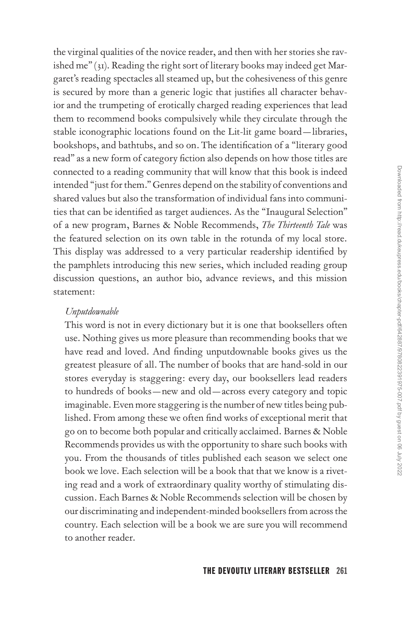the virginal qualities of the novice reader, and then with her stories she ravished me" (31). Reading the right sort of literary books may indeed get Margaret's reading spectacles all steamed up, but the cohesiveness of this genre is secured by more than a generic logic that justifies all character behavior and the trumpeting of erotically charged reading experiences that lead them to recommend books compulsively while they circulate through the stable iconographic locations found on the Lit-lit game board—libraries, bookshops, and bathtubs, and so on. The identification of a "literary good read" as a new form of category fiction also depends on how those titles are connected to a reading community that will know that this book is indeed intended "just for them." Genres depend on the stability of conventions and shared values but also the transformation of individual fans into communities that can be identified as target audiences. As the "Inaugural Selection" of a new program, Barnes & Noble Recommends, *The Thirteenth Tale* was the featured selection on its own table in the rotunda of my local store. This display was addressed to a very particular readership identified by the pamphlets introducing this new series, which included reading group discussion questions, an author bio, advance reviews, and this mission statement:

#### *Unputdownable*

This word is not in every dictionary but it is one that booksellers often use. Nothing gives us more pleasure than recommending books that we have read and loved. And finding unputdownable books gives us the greatest pleasure of all. The number of books that are hand-sold in our stores everyday is staggering: every day, our booksellers lead readers to hundreds of books—new and old—across every category and topic imaginable. Even more staggering is the number of new titles being published. From among these we often find works of exceptional merit that go on to become both popular and critically acclaimed. Barnes & Noble Recommends provides us with the opportunity to share such books with you. From the thousands of titles published each season we select one book we love. Each selection will be a book that that we know is a riveting read and a work of extraordinary quality worthy of stimulating discussion. Each Barnes & Noble Recommends selection will be chosen by our discriminating and independent-minded booksellers from across the country. Each selection will be a book we are sure you will recommend to another reader.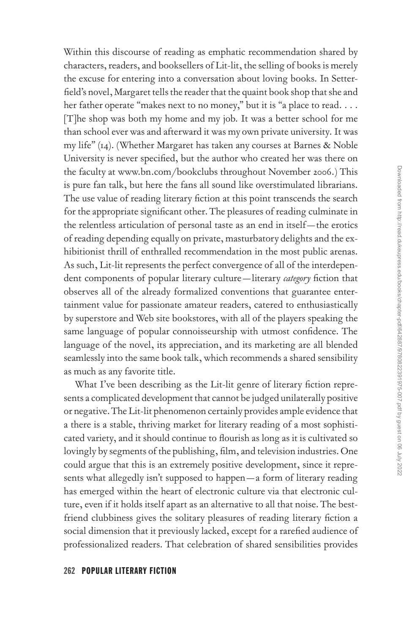Within this discourse of reading as emphatic recommendation shared by characters, readers, and booksellers of Lit-lit, the selling of books is merely the excuse for entering into a conversation about loving books. In Setterfield's novel, Margaret tells the reader that the quaint book shop that she and her father operate "makes next to no money," but it is "a place to read. . . . [T]he shop was both my home and my job. It was a better school for me than school ever was and afterward it was my own private university. It was my life" (14). (Whether Margaret has taken any courses at Barnes & Noble University is never specified, but the author who created her was there on the faculty at www.bn.com/bookclubs throughout November 2006.) This is pure fan talk, but here the fans all sound like overstimulated librarians. The use value of reading literary fiction at this point transcends the search for the appropriate significant other. The pleasures of reading culminate in the relentless articulation of personal taste as an end in itself—the erotics of reading depending equally on private, masturbatory delights and the exhibitionist thrill of enthralled recommendation in the most public arenas. As such, Lit-lit represents the perfect convergence of all of the interdependent components of popular literary culture—literary *category* fiction that observes all of the already formalized conventions that guarantee entertainment value for passionate amateur readers, catered to enthusiastically by superstore and Web site bookstores, with all of the players speaking the same language of popular connoisseurship with utmost confidence. The language of the novel, its appreciation, and its marketing are all blended seamlessly into the same book talk, which recommends a shared sensibility as much as any favorite title.

What I've been describing as the Lit-lit genre of literary fiction represents a complicated development that cannot be judged unilaterally positive or negative. The Lit-lit phenomenon certainly provides ample evidence that a there is a stable, thriving market for literary reading of a most sophisticated variety, and it should continue to flourish as long as it is cultivated so lovingly by segments of the publishing, film, and television industries. One could argue that this is an extremely positive development, since it represents what allegedly isn't supposed to happen—a form of literary reading has emerged within the heart of electronic culture via that electronic culture, even if it holds itself apart as an alternative to all that noise. The bestfriend clubbiness gives the solitary pleasures of reading literary fiction a social dimension that it previously lacked, except for a rarefied audience of professionalized readers. That celebration of shared sensibilities provides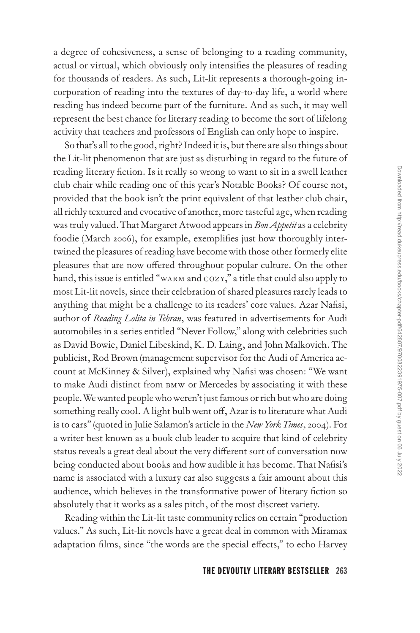a degree of cohesiveness, a sense of belonging to a reading community, actual or virtual, which obviously only intensifies the pleasures of reading for thousands of readers. As such, Lit-lit represents a thorough-going incorporation of reading into the textures of day-to-day life, a world where reading has indeed become part of the furniture. And as such, it may well represent the best chance for literary reading to become the sort of lifelong activity that teachers and professors of English can only hope to inspire.

So that's all to the good, right? Indeed it is, but there are also things about the Lit-lit phenomenon that are just as disturbing in regard to the future of reading literary fiction. Is it really so wrong to want to sit in a swell leather club chair while reading one of this year's Notable Books? Of course not, provided that the book isn't the print equivalent of that leather club chair, all richly textured and evocative of another, more tasteful age, when reading was truly valued. That Margaret Atwood appears in *Bon Appetit* as a celebrity foodie (March 2006), for example, exemplifies just how thoroughly intertwined the pleasures of reading have become with those other formerly elite pleasures that are now offered throughout popular culture. On the other hand, this issue is entitled "WARM and COZY," a title that could also apply to most Lit-lit novels, since their celebration of shared pleasures rarely leads to anything that might be a challenge to its readers' core values. Azar Nafisi, author of *Reading Lolita in Tehran*, was featured in advertisements for Audi automobiles in a series entitled "Never Follow," along with celebrities such as David Bowie, Daniel Libeskind, K. D. Laing, and John Malkovich. The publicist, Rod Brown (management supervisor for the Audi of America account at McKinney & Silver), explained why Nafisi was chosen: "We want to make Audi distinct from BMW or Mercedes by associating it with these people. We wanted people who weren't just famous or rich but who are doing something really cool. A light bulb went off, Azar is to literature what Audi is to cars" (quoted in Julie Salamon's article in the *New York Times*, 2004). For a writer best known as a book club leader to acquire that kind of celebrity status reveals a great deal about the very different sort of conversation now being conducted about books and how audible it has become. That Nafisi's name is associated with a luxury car also suggests a fair amount about this audience, which believes in the transformative power of literary fiction so absolutely that it works as a sales pitch, of the most discreet variety.

Reading within the Lit-lit taste community relies on certain "production values." As such, Lit-lit novels have a great deal in common with Miramax adaptation films, since "the words are the special effects," to echo Harvey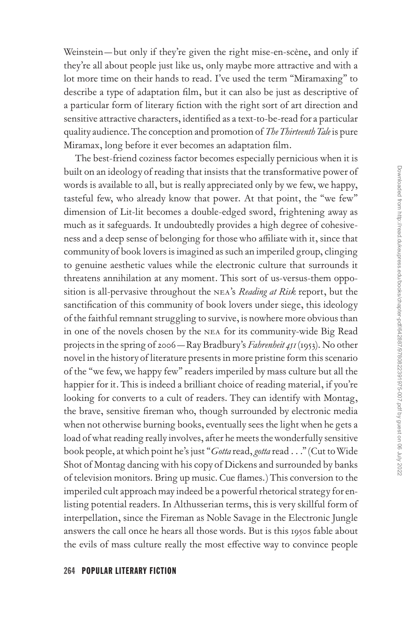Weinstein—but only if they're given the right mise-en-scène, and only if they're all about people just like us, only maybe more attractive and with a lot more time on their hands to read. I've used the term "Miramaxing" to describe a type of adaptation film, but it can also be just as descriptive of a particular form of literary fiction with the right sort of art direction and sensitive attractive characters, identified as a text-to-be-read for a particular quality audience. The conception and promotion of *The Thirteenth Tale* is pure Miramax, long before it ever becomes an adaptation film.

The best-friend coziness factor becomes especially pernicious when it is built on an ideology of reading that insists that the transformative power of words is available to all, but is really appreciated only by we few, we happy, tasteful few, who already know that power. At that point, the "we few" dimension of Lit-lit becomes a double-edged sword, frightening away as much as it safeguards. It undoubtedly provides a high degree of cohesiveness and a deep sense of belonging for those who affiliate with it, since that community of book lovers is imagined as such an imperiled group, clinging to genuine aesthetic values while the electronic culture that surrounds it threatens annihilation at any moment. This sort of us-versus-them opposition is all-pervasive throughout the NEA's *Reading at Risk* report, but the sanctification of this community of book lovers under siege, this ideology of the faithful remnant struggling to survive, is nowhere more obvious than in one of the novels chosen by the NEA for its community-wide Big Read projects in the spring of 2006—Ray Bradbury's *Fahrenheit 451* (1953). No other novel in the history of literature presents in more pristine form this scenario of the "we few, we happy few" readers imperiled by mass culture but all the happier for it. This is indeed a brilliant choice of reading material, if you're looking for converts to a cult of readers. They can identify with Montag, the brave, sensitive fireman who, though surrounded by electronic media when not otherwise burning books, eventually sees the light when he gets a load of what reading really involves, after he meets the wonderfully sensitive book people, at which point he's just "*Gotta* read, *gotta* read . . ." (Cut to Wide Shot of Montag dancing with his copy of Dickens and surrounded by banks of television monitors. Bring up music. Cue flames.) This conversion to the imperiled cult approach may indeed be a powerful rhetorical strategy for enlisting potential readers. In Althusserian terms, this is very skillful form of interpellation, since the Fireman as Noble Savage in the Electronic Jungle answers the call once he hears all those words. But is this 1950s fable about the evils of mass culture really the most effective way to convince people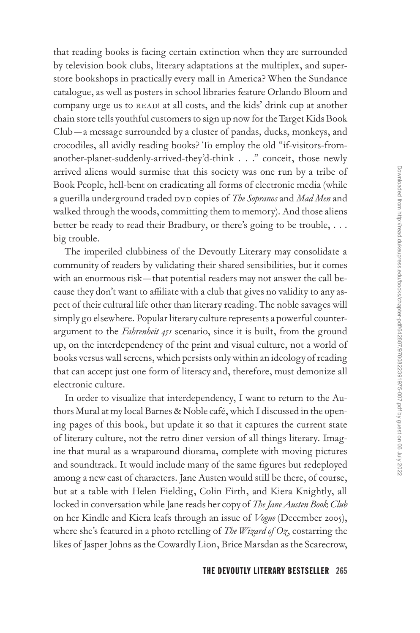that reading books is facing certain extinction when they are surrounded by television book clubs, literary adaptations at the multiplex, and superstore bookshops in practically every mall in America? When the Sundance catalogue, as well as posters in school libraries feature Orlando Bloom and company urge us to READ! at all costs, and the kids' drink cup at another chain store tells youthful customers to sign up now for the Target Kids Book Club—a message surrounded by a cluster of pandas, ducks, monkeys, and crocodiles, all avidly reading books? To employ the old "if-visitors-fromanother-planet-suddenly-arrived-they'd-think . . ." conceit, those newly arrived aliens would surmise that this society was one run by a tribe of Book People, hell-bent on eradicating all forms of electronic media (while a guerilla underground traded DVD copies of *The Sopranos* and *Mad Men* and walked through the woods, committing them to memory). And those aliens better be ready to read their Bradbury, or there's going to be trouble, . . . big trouble.

The imperiled clubbiness of the Devoutly Literary may consolidate a community of readers by validating their shared sensibilities, but it comes with an enormous risk—that potential readers may not answer the call because they don't want to affiliate with a club that gives no validity to any aspect of their cultural life other than literary reading. The noble savages will simply go elsewhere. Popular literary culture represents a powerful counterargument to the *Fahrenheit 451* scenario, since it is built, from the ground up, on the interdependency of the print and visual culture, not a world of books versus wall screens, which persists only within an ideology of reading that can accept just one form of literacy and, therefore, must demonize all electronic culture.

In order to visualize that interdependency, I want to return to the Authors Mural at my local Barnes & Noble café, which I discussed in the opening pages of this book, but update it so that it captures the current state of literary culture, not the retro diner version of all things literary. Imagine that mural as a wraparound diorama, complete with moving pictures and soundtrack. It would include many of the same figures but redeployed among a new cast of characters. Jane Austen would still be there, of course, but at a table with Helen Fielding, Colin Firth, and Kiera Knightly, all locked in conversation while Jane reads her copy of *The Jane Austen Book Club* on her Kindle and Kiera leafs through an issue of *Vogue* (December 2005), where she's featured in a photo retelling of *The Wizard of Oz*, costarring the likes of Jasper Johns as the Cowardly Lion, Brice Marsdan as the Scarecrow,